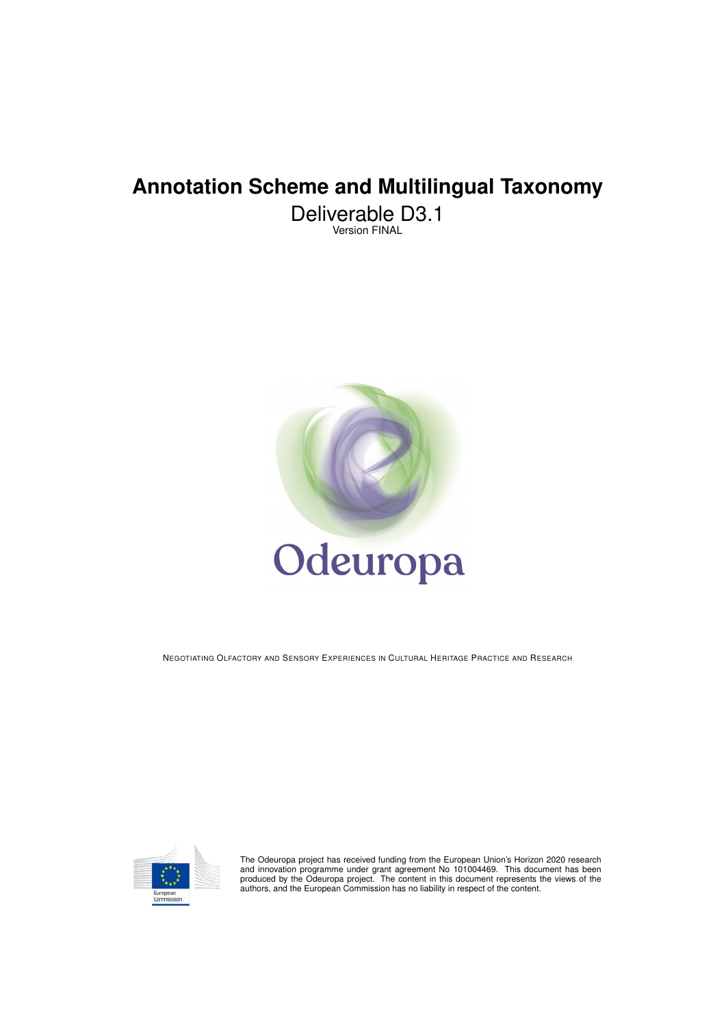# **Annotation Scheme and Multilingual Taxonomy**

Deliverable D3.1 Version FINAL



NEGOTIATING OLFACTORY AND SENSORY EXPERIENCES IN CULTURAL HERITAGE PRACTICE AND RESEARCH



The Odeuropa project has received funding from the European Union's Horizon 2020 research<br>and innovation programme under grant agreement No 101004469. This document has been<br>produced by the Odeuropa project. The content in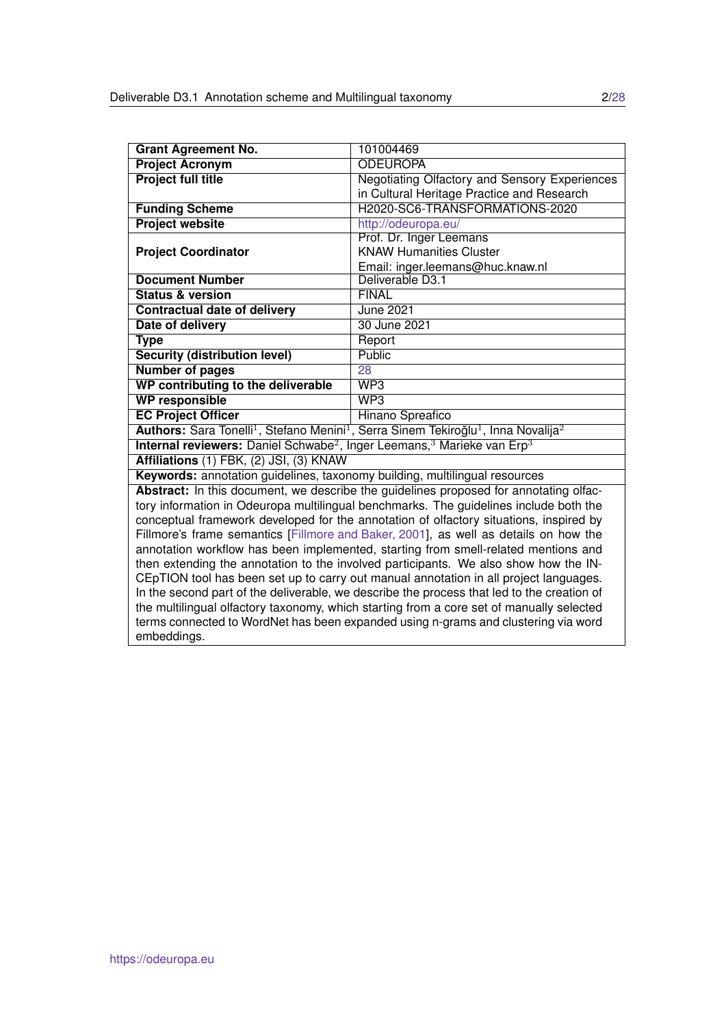| <b>Grant Agreement No.</b>                                                                                 | 101004469                                                                                                                          |  |  |  |
|------------------------------------------------------------------------------------------------------------|------------------------------------------------------------------------------------------------------------------------------------|--|--|--|
| <b>Project Acronym</b>                                                                                     | <b>ODEUROPA</b>                                                                                                                    |  |  |  |
| <b>Project full title</b>                                                                                  | <b>Negotiating Olfactory and Sensory Experiences</b>                                                                               |  |  |  |
|                                                                                                            | in Cultural Heritage Practice and Research                                                                                         |  |  |  |
| <b>Funding Scheme</b>                                                                                      | H2020-SC6-TRANSFORMATIONS-2020                                                                                                     |  |  |  |
| <b>Project website</b>                                                                                     | http://odeuropa.eu/                                                                                                                |  |  |  |
|                                                                                                            | Prof. Dr. Inger Leemans                                                                                                            |  |  |  |
| <b>Project Coordinator</b>                                                                                 | <b>KNAW Humanities Cluster</b>                                                                                                     |  |  |  |
|                                                                                                            | Email: inger.leemans@huc.knaw.nl                                                                                                   |  |  |  |
| <b>Document Number</b>                                                                                     | Deliverable D3.1                                                                                                                   |  |  |  |
| <b>Status &amp; version</b>                                                                                | <b>FINAL</b>                                                                                                                       |  |  |  |
| <b>Contractual date of delivery</b>                                                                        | <b>June 2021</b>                                                                                                                   |  |  |  |
| Date of delivery                                                                                           | 30 June 2021                                                                                                                       |  |  |  |
| <b>Type</b>                                                                                                | Report                                                                                                                             |  |  |  |
| <b>Security (distribution level)</b>                                                                       | <b>Public</b>                                                                                                                      |  |  |  |
| <b>Number of pages</b>                                                                                     | 28                                                                                                                                 |  |  |  |
| WP contributing to the deliverable                                                                         | WP3                                                                                                                                |  |  |  |
| <b>WP responsible</b>                                                                                      | WP3                                                                                                                                |  |  |  |
| <b>EC Project Officer</b>                                                                                  | Hinano Spreafico                                                                                                                   |  |  |  |
|                                                                                                            | Authors: Sara Tonelli <sup>1</sup> , Stefano Menini <sup>1</sup> , Serra Sinem Tekiroğlu <sup>1</sup> , Inna Novalija <sup>2</sup> |  |  |  |
| Internal reviewers: Daniel Schwabe <sup>2</sup> , Inger Leemans, <sup>3</sup> Marieke van Erp <sup>3</sup> |                                                                                                                                    |  |  |  |
| Affiliations (1) FBK, (2) JSI, (3) KNAW                                                                    |                                                                                                                                    |  |  |  |
| Keywords: annotation guidelines, taxonomy building, multilingual resources                                 |                                                                                                                                    |  |  |  |
|                                                                                                            | Abstract: In this document, we describe the guidelines proposed for annotating olfac-                                              |  |  |  |
|                                                                                                            | tory information in Odeuropa multilingual benchmarks. The guidelines include both the                                              |  |  |  |
| conceptual framework developed for the annotation of olfactory situations, inspired by                     |                                                                                                                                    |  |  |  |
|                                                                                                            | Fillmore's frame semantics [Fillmore and Baker, 2001], as well as details on how the                                               |  |  |  |
| annotation workflow has been implemented, starting from smell-related mentions and                         |                                                                                                                                    |  |  |  |
| then extending the annotation to the involved participants. We also show how the IN-                       |                                                                                                                                    |  |  |  |
|                                                                                                            | CEpTION tool has been set up to carry out manual annotation in all project languages.                                              |  |  |  |
|                                                                                                            | In the second part of the deliverable, we describe the process that led to the creation of                                         |  |  |  |
| the multilingual olfactory taxonomy, which starting from a core set of manually selected                   |                                                                                                                                    |  |  |  |
|                                                                                                            | terms connected to WordNet has been expanded using n-grams and clustering via word                                                 |  |  |  |
| embeddings.                                                                                                |                                                                                                                                    |  |  |  |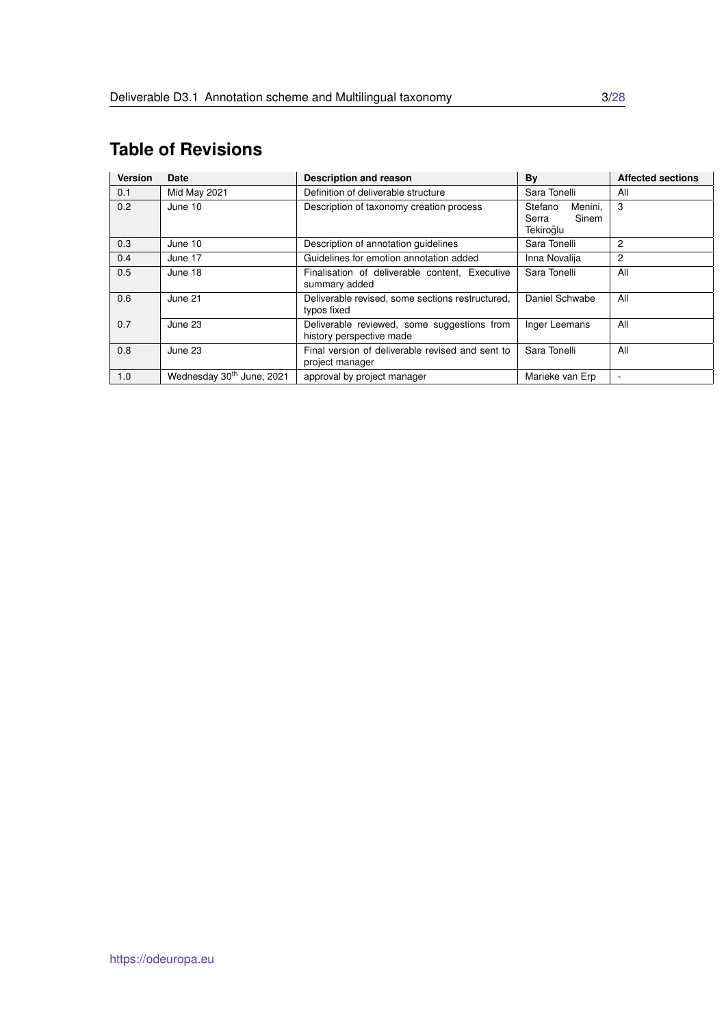# <span id="page-2-0"></span>**Table of Revisions**

| <b>Version</b> | Date                                  | <b>Description and reason</b>                                           | By                                                | <b>Affected sections</b> |
|----------------|---------------------------------------|-------------------------------------------------------------------------|---------------------------------------------------|--------------------------|
| 0.1            | Mid May 2021                          | Definition of deliverable structure                                     | Sara Tonelli                                      | All                      |
| 0.2            | June 10                               | Description of taxonomy creation process                                | Menini,<br>Stefano<br>Sinem<br>Serra<br>Tekiroğlu | 3                        |
| 0.3            | June 10                               | Description of annotation quidelines                                    | Sara Tonelli                                      | 2                        |
| 0.4            | June 17                               | Guidelines for emotion annotation added                                 | Inna Novalija                                     | 2                        |
| 0.5            | June 18                               | Finalisation of deliverable content, Executive<br>summary added         | Sara Tonelli                                      | All                      |
| 0.6            | June 21                               | Deliverable revised, some sections restructured,<br>typos fixed         | Daniel Schwabe                                    | All                      |
| 0.7            | June 23                               | Deliverable reviewed, some suggestions from<br>history perspective made | Inger Leemans                                     | All                      |
| 0.8            | June 23                               | Final version of deliverable revised and sent to<br>project manager     | Sara Tonelli                                      | All                      |
| 1.0            | Wednesday 30 <sup>th</sup> June, 2021 | approval by project manager                                             | Marieke van Erp                                   |                          |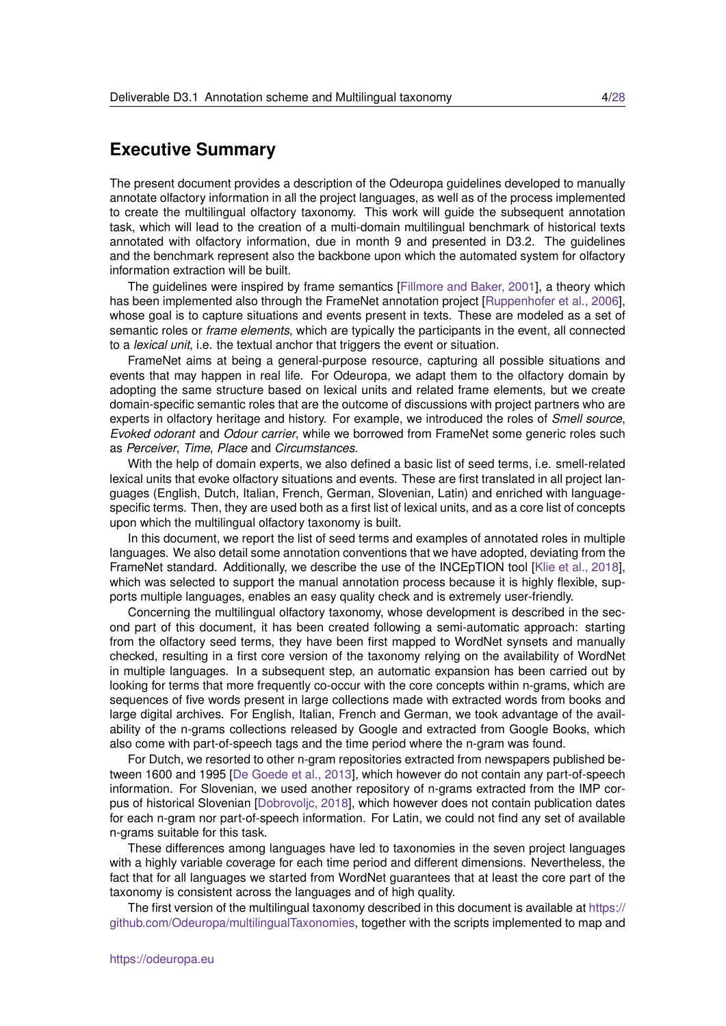# **Executive Summary**

The present document provides a description of the Odeuropa guidelines developed to manually annotate olfactory information in all the project languages, as well as of the process implemented to create the multilingual olfactory taxonomy. This work will guide the subsequent annotation task, which will lead to the creation of a multi-domain multilingual benchmark of historical texts annotated with olfactory information, due in month 9 and presented in D3.2. The guidelines and the benchmark represent also the backbone upon which the automated system for olfactory information extraction will be built.

The guidelines were inspired by frame semantics [\[Fillmore and Baker, 2001\]](#page-26-0), a theory which has been implemented also through the FrameNet annotation project [\[Ruppenhofer et al., 2006\]](#page-27-1). whose goal is to capture situations and events present in texts. These are modeled as a set of semantic roles or *frame elements*, which are typically the participants in the event, all connected to a *lexical unit*, i.e. the textual anchor that triggers the event or situation.

FrameNet aims at being a general-purpose resource, capturing all possible situations and events that may happen in real life. For Odeuropa, we adapt them to the olfactory domain by adopting the same structure based on lexical units and related frame elements, but we create domain-specific semantic roles that are the outcome of discussions with project partners who are experts in olfactory heritage and history. For example, we introduced the roles of *Smell source*, *Evoked odorant* and *Odour carrier*, while we borrowed from FrameNet some generic roles such as *Perceiver*, *Time*, *Place* and *Circumstances*.

With the help of domain experts, we also defined a basic list of seed terms, i.e. smell-related lexical units that evoke olfactory situations and events. These are first translated in all project languages (English, Dutch, Italian, French, German, Slovenian, Latin) and enriched with languagespecific terms. Then, they are used both as a first list of lexical units, and as a core list of concepts upon which the multilingual olfactory taxonomy is built.

In this document, we report the list of seed terms and examples of annotated roles in multiple languages. We also detail some annotation conventions that we have adopted, deviating from the FrameNet standard. Additionally, we describe the use of the INCEpTION tool [\[Klie et al., 2018\]](#page-26-1), which was selected to support the manual annotation process because it is highly flexible, supports multiple languages, enables an easy quality check and is extremely user-friendly.

Concerning the multilingual olfactory taxonomy, whose development is described in the second part of this document, it has been created following a semi-automatic approach: starting from the olfactory seed terms, they have been first mapped to WordNet synsets and manually checked, resulting in a first core version of the taxonomy relying on the availability of WordNet in multiple languages. In a subsequent step, an automatic expansion has been carried out by looking for terms that more frequently co-occur with the core concepts within n-grams, which are sequences of five words present in large collections made with extracted words from books and large digital archives. For English, Italian, French and German, we took advantage of the availability of the n-grams collections released by Google and extracted from Google Books, which also come with part-of-speech tags and the time period where the n-gram was found.

For Dutch, we resorted to other n-gram repositories extracted from newspapers published between 1600 and 1995 [\[De Goede et al., 2013\]](#page-26-2), which however do not contain any part-of-speech information. For Slovenian, we used another repository of n-grams extracted from the IMP corpus of historical Slovenian [\[Dobrovoljc, 2018\]](#page-26-3), which however does not contain publication dates for each n-gram nor part-of-speech information. For Latin, we could not find any set of available n-grams suitable for this task.

These differences among languages have led to taxonomies in the seven project languages with a highly variable coverage for each time period and different dimensions. Nevertheless, the fact that for all languages we started from WordNet guarantees that at least the core part of the taxonomy is consistent across the languages and of high quality.

The first version of the multilingual taxonomy described in this document is available at [https://](https://github.com/Odeuropa/multilingualTaxonomies) [github.com/Odeuropa/multilingualTaxonomies,](https://github.com/Odeuropa/multilingualTaxonomies) together with the scripts implemented to map and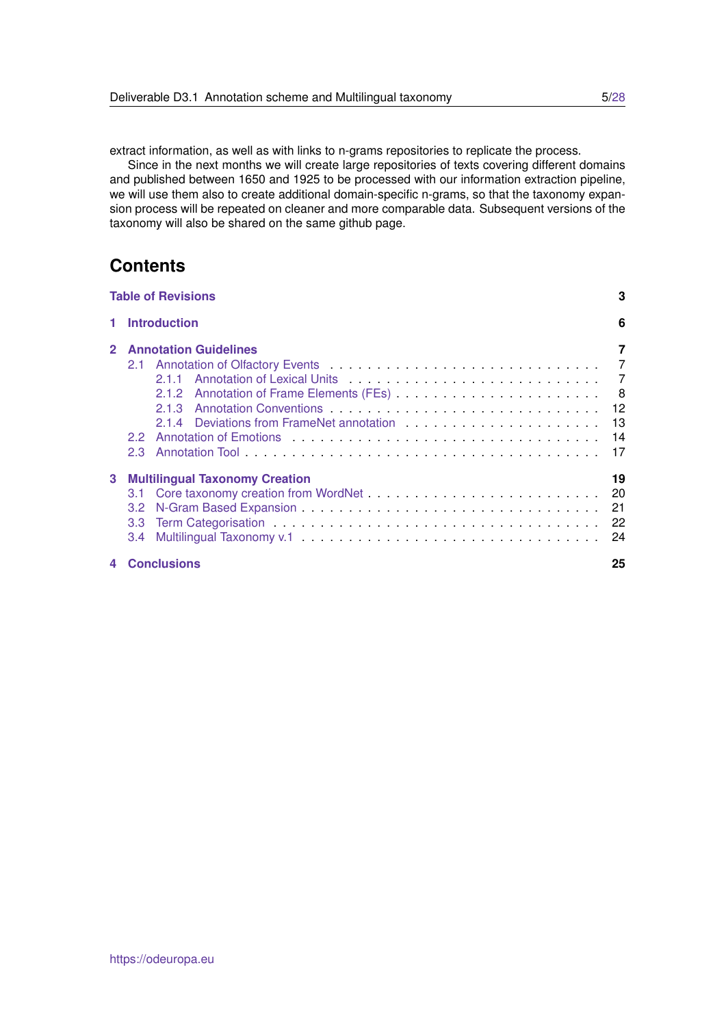extract information, as well as with links to n-grams repositories to replicate the process.

Since in the next months we will create large repositories of texts covering different domains and published between 1650 and 1925 to be processed with our information extraction pipeline, we will use them also to create additional domain-specific n-grams, so that the taxonomy expansion process will be repeated on cleaner and more comparable data. Subsequent versions of the taxonomy will also be shared on the same github page.

# **Contents**

|                | <b>Table of Revisions</b>                                                                   | 3        |
|----------------|---------------------------------------------------------------------------------------------|----------|
|                | 1 Introduction                                                                              | 6        |
|                | <b>Annotation Guidelines</b>                                                                | 7        |
| 3 <sup>1</sup> | <b>Multilingual Taxonomy Creation</b><br>$3.2^{\circ}$<br>3.3 <sup>°</sup><br>$3.4^{\circ}$ | 19<br>24 |
| $\Delta$       | <b>Conclusions</b>                                                                          | 25       |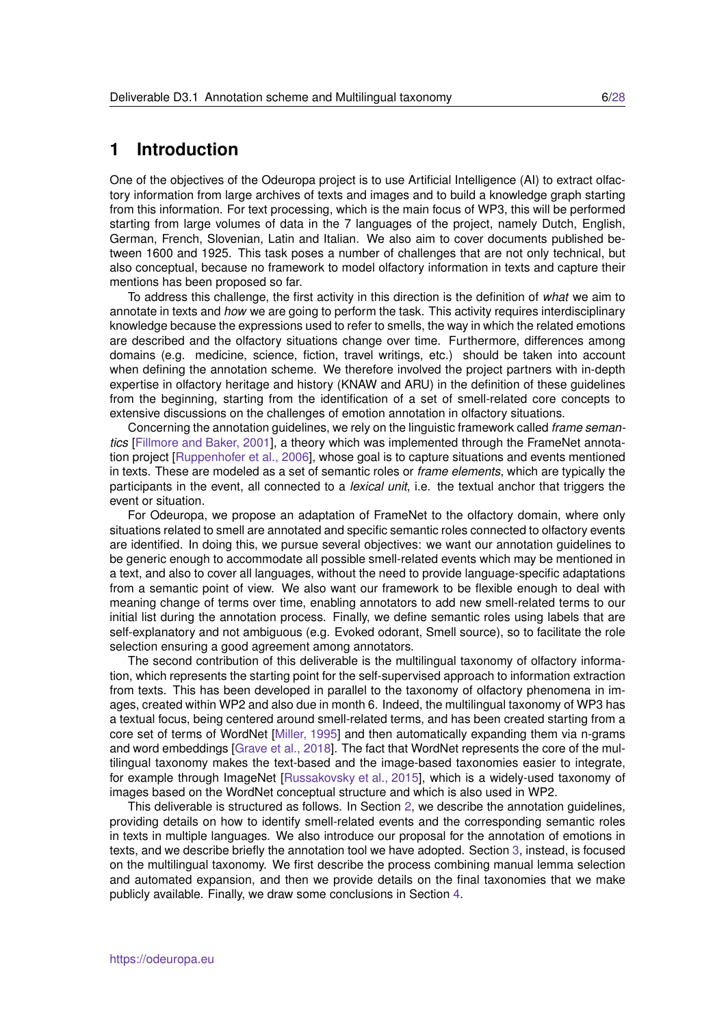# <span id="page-5-0"></span>**1 Introduction**

One of the objectives of the Odeuropa project is to use Artificial Intelligence (AI) to extract olfactory information from large archives of texts and images and to build a knowledge graph starting from this information. For text processing, which is the main focus of WP3, this will be performed starting from large volumes of data in the 7 languages of the project, namely Dutch, English, German, French, Slovenian, Latin and Italian. We also aim to cover documents published between 1600 and 1925. This task poses a number of challenges that are not only technical, but also conceptual, because no framework to model olfactory information in texts and capture their mentions has been proposed so far.

To address this challenge, the first activity in this direction is the definition of *what* we aim to annotate in texts and *how* we are going to perform the task. This activity requires interdisciplinary knowledge because the expressions used to refer to smells, the way in which the related emotions are described and the olfactory situations change over time. Furthermore, differences among domains (e.g. medicine, science, fiction, travel writings, etc.) should be taken into account when defining the annotation scheme. We therefore involved the project partners with in-depth expertise in olfactory heritage and history (KNAW and ARU) in the definition of these guidelines from the beginning, starting from the identification of a set of smell-related core concepts to extensive discussions on the challenges of emotion annotation in olfactory situations.

Concerning the annotation guidelines, we rely on the linguistic framework called *frame semantics* [\[Fillmore and Baker, 2001\]](#page-26-0), a theory which was implemented through the FrameNet annotation project [\[Ruppenhofer et al., 2006\]](#page-27-1), whose goal is to capture situations and events mentioned in texts. These are modeled as a set of semantic roles or *frame elements*, which are typically the participants in the event, all connected to a *lexical unit*, i.e. the textual anchor that triggers the event or situation.

For Odeuropa, we propose an adaptation of FrameNet to the olfactory domain, where only situations related to smell are annotated and specific semantic roles connected to olfactory events are identified. In doing this, we pursue several objectives: we want our annotation guidelines to be generic enough to accommodate all possible smell-related events which may be mentioned in a text, and also to cover all languages, without the need to provide language-specific adaptations from a semantic point of view. We also want our framework to be flexible enough to deal with meaning change of terms over time, enabling annotators to add new smell-related terms to our initial list during the annotation process. Finally, we define semantic roles using labels that are self-explanatory and not ambiguous (e.g. Evoked odorant, Smell source), so to facilitate the role selection ensuring a good agreement among annotators.

The second contribution of this deliverable is the multilingual taxonomy of olfactory information, which represents the starting point for the self-supervised approach to information extraction from texts. This has been developed in parallel to the taxonomy of olfactory phenomena in images, created within WP2 and also due in month 6. Indeed, the multilingual taxonomy of WP3 has a textual focus, being centered around smell-related terms, and has been created starting from a core set of terms of WordNet [\[Miller, 1995\]](#page-27-2) and then automatically expanding them via n-grams and word embeddings [\[Grave et al., 2018\]](#page-26-4). The fact that WordNet represents the core of the multilingual taxonomy makes the text-based and the image-based taxonomies easier to integrate, for example through ImageNet [\[Russakovsky et al., 2015\]](#page-27-3), which is a widely-used taxonomy of images based on the WordNet conceptual structure and which is also used in WP2.

This deliverable is structured as follows. In Section [2,](#page-6-0) we describe the annotation guidelines, providing details on how to identify smell-related events and the corresponding semantic roles in texts in multiple languages. We also introduce our proposal for the annotation of emotions in texts, and we describe briefly the annotation tool we have adopted. Section [3,](#page-18-0) instead, is focused on the multilingual taxonomy. We first describe the process combining manual lemma selection and automated expansion, and then we provide details on the final taxonomies that we make publicly available. Finally, we draw some conclusions in Section [4.](#page-24-0)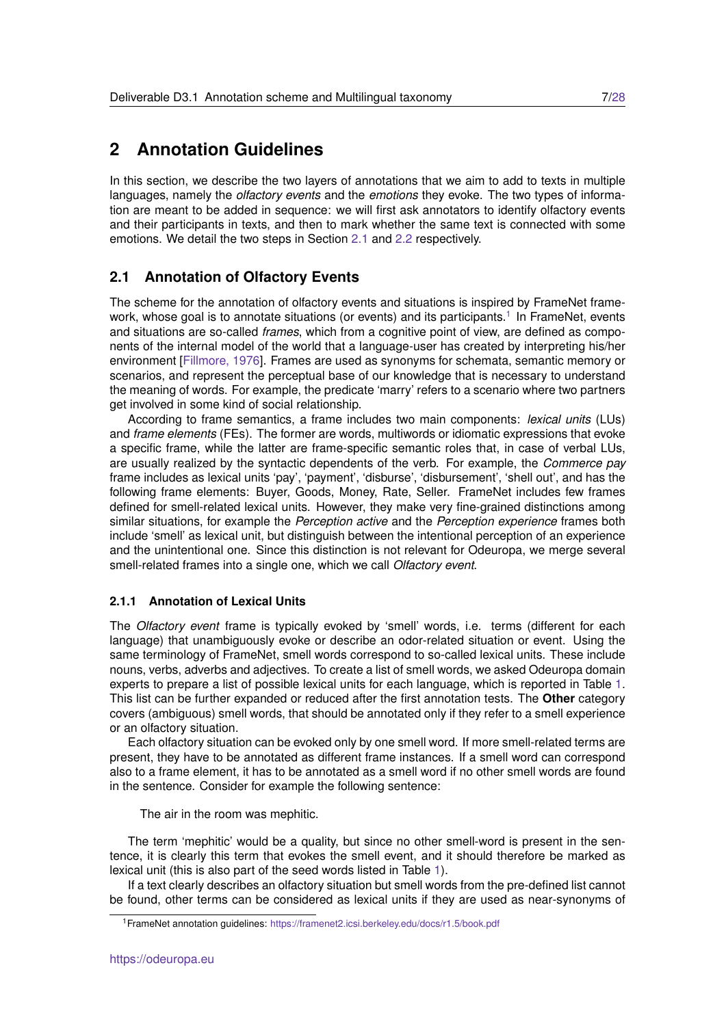# <span id="page-6-0"></span>**2 Annotation Guidelines**

In this section, we describe the two layers of annotations that we aim to add to texts in multiple languages, namely the *olfactory events* and the *emotions* they evoke. The two types of information are meant to be added in sequence: we will first ask annotators to identify olfactory events and their participants in texts, and then to mark whether the same text is connected with some emotions. We detail the two steps in Section [2.1](#page-6-1) and [2.2](#page-13-0) respectively.

### <span id="page-6-1"></span>**2.1 Annotation of Olfactory Events**

The scheme for the annotation of olfactory events and situations is inspired by FrameNet frame-work, whose goal is to annotate situations (or events) and its participants.<sup>[1](#page-6-3)</sup> In FrameNet, events and situations are so-called *frames*, which from a cognitive point of view, are defined as components of the internal model of the world that a language-user has created by interpreting his/her environment [\[Fillmore, 1976\]](#page-26-5). Frames are used as synonyms for schemata, semantic memory or scenarios, and represent the perceptual base of our knowledge that is necessary to understand the meaning of words. For example, the predicate 'marry' refers to a scenario where two partners get involved in some kind of social relationship.

According to frame semantics, a frame includes two main components: *lexical units* (LUs) and *frame elements* (FEs). The former are words, multiwords or idiomatic expressions that evoke a specific frame, while the latter are frame-specific semantic roles that, in case of verbal LUs, are usually realized by the syntactic dependents of the verb. For example, the *Commerce pay* frame includes as lexical units 'pay', 'payment', 'disburse', 'disbursement', 'shell out', and has the following frame elements: Buyer, Goods, Money, Rate, Seller. FrameNet includes few frames defined for smell-related lexical units. However, they make very fine-grained distinctions among similar situations, for example the *Perception active* and the *Perception experience* frames both include 'smell' as lexical unit, but distinguish between the intentional perception of an experience and the unintentional one. Since this distinction is not relevant for Odeuropa, we merge several smell-related frames into a single one, which we call *Olfactory event*.

#### <span id="page-6-2"></span>**2.1.1 Annotation of Lexical Units**

The *Olfactory event* frame is typically evoked by 'smell' words, i.e. terms (different for each language) that unambiguously evoke or describe an odor-related situation or event. Using the same terminology of FrameNet, smell words correspond to so-called lexical units. These include nouns, verbs, adverbs and adjectives. To create a list of smell words, we asked Odeuropa domain experts to prepare a list of possible lexical units for each language, which is reported in Table [1.](#page-8-0) This list can be further expanded or reduced after the first annotation tests. The **Other** category covers (ambiguous) smell words, that should be annotated only if they refer to a smell experience or an olfactory situation.

Each olfactory situation can be evoked only by one smell word. If more smell-related terms are present, they have to be annotated as different frame instances. If a smell word can correspond also to a frame element, it has to be annotated as a smell word if no other smell words are found in the sentence. Consider for example the following sentence:

The air in the room was mephitic.

The term 'mephitic' would be a quality, but since no other smell-word is present in the sentence, it is clearly this term that evokes the smell event, and it should therefore be marked as lexical unit (this is also part of the seed words listed in Table [1\)](#page-8-0).

If a text clearly describes an olfactory situation but smell words from the pre-defined list cannot be found, other terms can be considered as lexical units if they are used as near-synonyms of

<span id="page-6-3"></span><sup>1</sup>FrameNet annotation guidelines: <https://framenet2.icsi.berkeley.edu/docs/r1.5/book.pdf>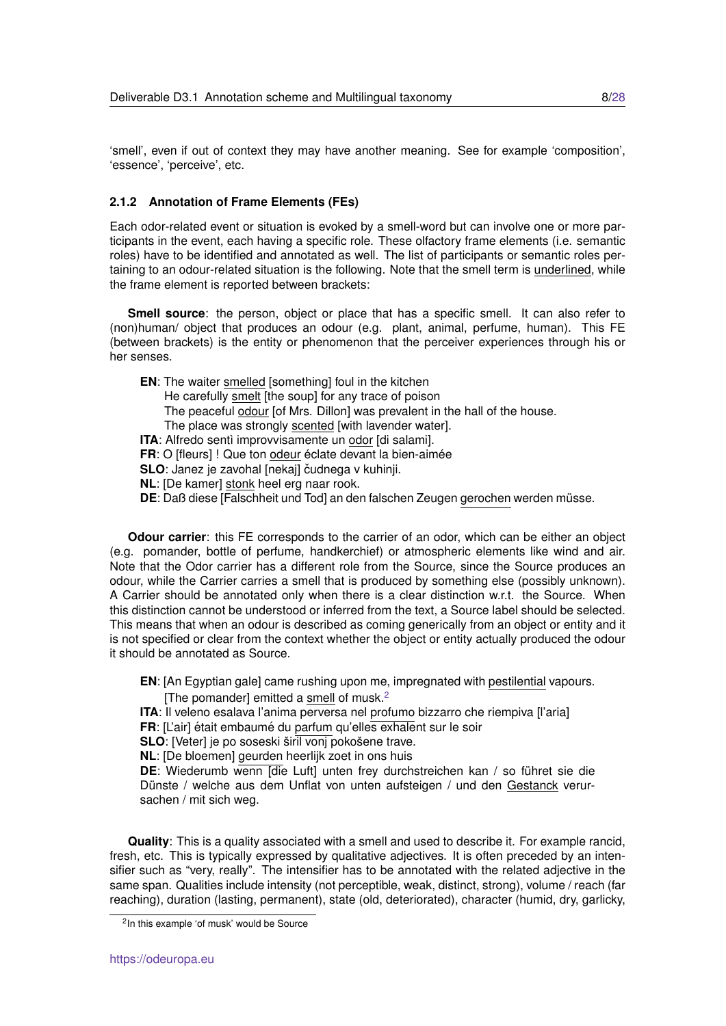'smell', even if out of context they may have another meaning. See for example 'composition', 'essence', 'perceive', etc.

#### <span id="page-7-0"></span>**2.1.2 Annotation of Frame Elements (FEs)**

Each odor-related event or situation is evoked by a smell-word but can involve one or more participants in the event, each having a specific role. These olfactory frame elements (i.e. semantic roles) have to be identified and annotated as well. The list of participants or semantic roles pertaining to an odour-related situation is the following. Note that the smell term is underlined, while the frame element is reported between brackets:

**Smell source**: the person, object or place that has a specific smell. It can also refer to (non)human/ object that produces an odour (e.g. plant, animal, perfume, human). This FE (between brackets) is the entity or phenomenon that the perceiver experiences through his or her senses.

**EN**: The waiter smelled [something] foul in the kitchen He carefully smelt [the soup] for any trace of poison The peaceful odour [of Mrs. Dillon] was prevalent in the hall of the house. The place was strongly scented [with lavender water]. **ITA:** Alfredo sentì improvvisamente un odor [di salami]. **FR:** O [fleurs] ! Que ton odeur éclate devant la bien-aimée **SLO**: Janez je zavohal [nekaj] čudnega v kuhinji. **NL**: [De kamer] stonk heel erg naar rook. **DE**: Daß diese [Falschheit und Tod] an den falschen Zeugen gerochen werden müsse.

**Odour carrier**: this FE corresponds to the carrier of an odor, which can be either an object (e.g. pomander, bottle of perfume, handkerchief) or atmospheric elements like wind and air. Note that the Odor carrier has a different role from the Source, since the Source produces an odour, while the Carrier carries a smell that is produced by something else (possibly unknown). A Carrier should be annotated only when there is a clear distinction w.r.t. the Source. When this distinction cannot be understood or inferred from the text, a Source label should be selected. This means that when an odour is described as coming generically from an object or entity and it is not specified or clear from the context whether the object or entity actually produced the odour it should be annotated as Source.

**EN**: [An Egyptian gale] came rushing upon me, impregnated with pestilential vapours.

- The pomanderl emitted a smell of musk. $<sup>2</sup>$  $<sup>2</sup>$  $<sup>2</sup>$ </sup>
- **ITA**: Il veleno esalava l'anima perversa nel profumo bizzarro che riempiva [l'aria]
- **FR**: [L'air] était embaumé du parfum qu'elles exhalent sur le soir

**SLO**: [Veter] je po soseski širil voni pokošene trave.

**NL**: [De bloemen] geurden heerlijk zoet in ons huis

**DE**: Wiederumb wenn [die Luft] unten frey durchstreichen kan / so führet sie die Dünste / welche aus dem Unflat von unten aufsteigen / und den Gestanck verursachen / mit sich weg.

**Quality**: This is a quality associated with a smell and used to describe it. For example rancid, fresh, etc. This is typically expressed by qualitative adjectives. It is often preceded by an intensifier such as "very, really". The intensifier has to be annotated with the related adjective in the same span. Qualities include intensity (not perceptible, weak, distinct, strong), volume / reach (far reaching), duration (lasting, permanent), state (old, deteriorated), character (humid, dry, garlicky,

<span id="page-7-1"></span><sup>2</sup> In this example 'of musk' would be Source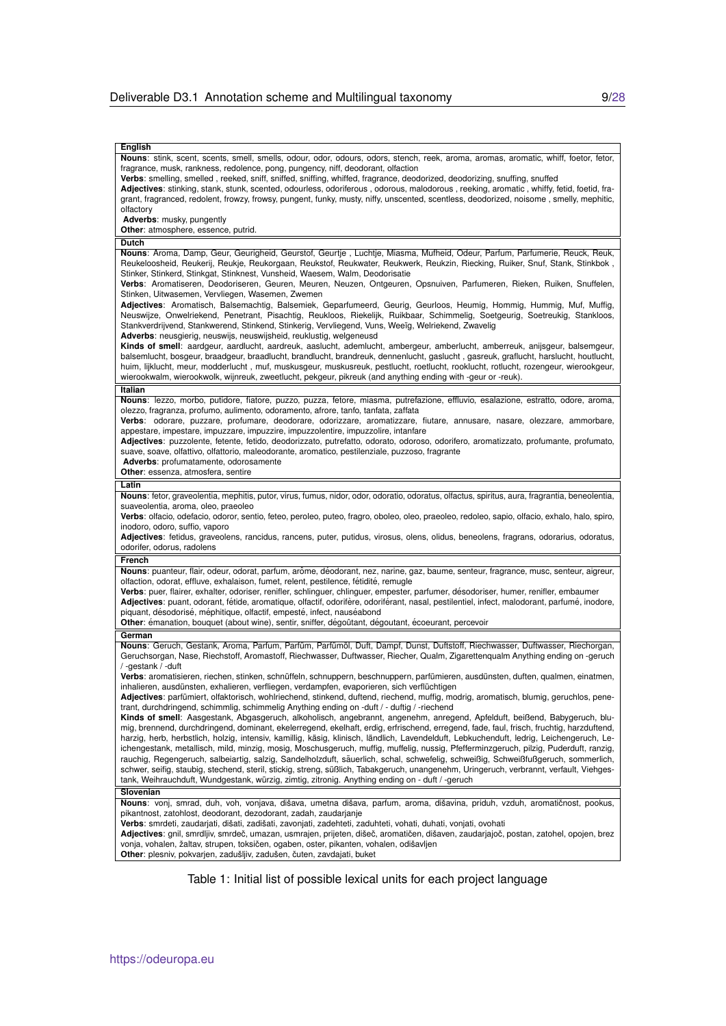| English                                                                                                                                                                                                                                                                                                                                                                                                                                                                                                                                                                                                                                                                                                                                                                                                                                                                                                                                        |
|------------------------------------------------------------------------------------------------------------------------------------------------------------------------------------------------------------------------------------------------------------------------------------------------------------------------------------------------------------------------------------------------------------------------------------------------------------------------------------------------------------------------------------------------------------------------------------------------------------------------------------------------------------------------------------------------------------------------------------------------------------------------------------------------------------------------------------------------------------------------------------------------------------------------------------------------|
| Nouns: stink, scent, scents, smell, smells, odour, odor, odours, odors, stench, reek, aroma, aromas, aromatic, whiff, foetor, fetor,<br>fragrance, musk, rankness, redolence, pong, pungency, niff, deodorant, olfaction<br>Verbs: smelling, smelled, reeked, sniff, sniffed, sniffing, whiffed, fragrance, deodorized, deodorizing, snuffing, snuffed<br>Adjectives: stinking, stank, stunk, scented, odourless, odoriferous, odorous, malodorous, reeking, aromatic, whiffy, fetid, foetid, fra-                                                                                                                                                                                                                                                                                                                                                                                                                                             |
| grant, fragranced, redolent, frowzy, frowsy, pungent, funky, musty, niffy, unscented, scentless, deodorized, noisome, smelly, mephitic,<br>olfactory                                                                                                                                                                                                                                                                                                                                                                                                                                                                                                                                                                                                                                                                                                                                                                                           |
| Adverbs: musky, pungently                                                                                                                                                                                                                                                                                                                                                                                                                                                                                                                                                                                                                                                                                                                                                                                                                                                                                                                      |
| Other: atmosphere, essence, putrid.                                                                                                                                                                                                                                                                                                                                                                                                                                                                                                                                                                                                                                                                                                                                                                                                                                                                                                            |
| <b>Dutch</b>                                                                                                                                                                                                                                                                                                                                                                                                                                                                                                                                                                                                                                                                                                                                                                                                                                                                                                                                   |
| Nouns: Aroma, Damp, Geur, Geurigheid, Geurstof, Geurtje, Luchtje, Miasma, Mufheid, Odeur, Parfum, Parfumerie, Reuck, Reuk,<br>Reukeloosheid, Reukerij, Reukje, Reukorgaan, Reukstof, Reukwater, Reukwerk, Reukzin, Riecking, Ruiker, Snuf, Stank, Stinkbok,<br>Stinker, Stinkerd, Stinkgat, Stinknest, Vunsheid, Waesem, Walm, Deodorisatie<br>Verbs: Aromatiseren, Deodoriseren, Geuren, Meuren, Neuzen, Ontgeuren, Opsnuiven, Parfumeren, Rieken, Ruiken, Snuffelen,<br>Stinken, Uitwasemen, Vervliegen, Wasemen, Zwemen                                                                                                                                                                                                                                                                                                                                                                                                                     |
| Adjectives: Aromatisch, Balsemachtig, Balsemiek, Geparfumeerd, Geurig, Geurloos, Heumig, Hommig, Hummig, Muf, Muffig,<br>Neuswijze, Onwelriekend, Penetrant, Pisachtig, Reukloos, Riekelijk, Ruikbaar, Schimmelig, Soetgeurig, Soetreukig, Stankloos,<br>Stankverdrijvend, Stankwerend, Stinkend, Stinkerig, Vervliegend, Vuns, Weeïg, Welriekend, Zwavelig<br>Adverbs: neusgierig, neuswijs, neuswijsheid, reuklustig, welgeneusd                                                                                                                                                                                                                                                                                                                                                                                                                                                                                                             |
| Kinds of smell: aardgeur, aardlucht, aardreuk, aaslucht, ademlucht, ambergeur, amberlucht, amberreuk, anijsgeur, balsemgeur,<br>balsemlucht, bosgeur, braadgeur, braadlucht, brandlucht, brandreuk, dennenlucht, gaslucht, gasreuk, graflucht, harslucht, houtlucht,<br>huim, lijklucht, meur, modderlucht, muf, muskusgeur, muskusreuk, pestlucht, roetlucht, rooklucht, rotlucht, rozengeur, wierookgeur,<br>wierookwalm, wierookwolk, wijnreuk, zweetlucht, pekgeur, pikreuk (and anything ending with -geur or -reuk).                                                                                                                                                                                                                                                                                                                                                                                                                     |
| Italian                                                                                                                                                                                                                                                                                                                                                                                                                                                                                                                                                                                                                                                                                                                                                                                                                                                                                                                                        |
| Nouns: lezzo, morbo, putidore, fiatore, puzzo, puzza, fetore, miasma, putrefazione, effluvio, esalazione, estratto, odore, aroma,<br>olezzo, fragranza, profumo, aulimento, odoramento, afrore, tanfo, tanfata, zaffata<br>Verbs: odorare, puzzare, profumare, deodorare, odorizzare, aromatizzare, fiutare, annusare, nasare, olezzare, ammorbare,<br>appestare, impestare, impuzzare, impuzzire, impuzzolentire, impuzzolire, intanfare<br>Adjectives: puzzolente, fetente, fetido, deodorizzato, putrefatto, odorato, odoroso, odorifero, aromatizzato, profumante, profumato,<br>suave, soave, olfattivo, olfattorio, maleodorante, aromatico, pestilenziale, puzzoso, fragrante<br>Adverbs: profumatamente, odorosamente<br>Other: essenza, atmosfera, sentire                                                                                                                                                                            |
| Latin                                                                                                                                                                                                                                                                                                                                                                                                                                                                                                                                                                                                                                                                                                                                                                                                                                                                                                                                          |
| Nouns: fetor, graveolentia, mephitis, putor, virus, fumus, nidor, odor, odoratio, odoratus, olfactus, spiritus, aura, fragrantia, beneolentia,<br>suaveolentia, aroma, oleo, praeoleo<br>Verbs: olfacio, odefacio, odoror, sentio, feteo, peroleo, puteo, fragro, oboleo, oleo, praeoleo, redoleo, sapio, olfacio, exhalo, halo, spiro,<br>inodoro, odoro, suffio, vaporo<br>Adjectives: fetidus, graveolens, rancidus, rancens, puter, putidus, virosus, olens, olidus, beneolens, fragrans, odorarius, odoratus,<br>odorifer, odorus, radolens                                                                                                                                                                                                                                                                                                                                                                                               |
| French                                                                                                                                                                                                                                                                                                                                                                                                                                                                                                                                                                                                                                                                                                                                                                                                                                                                                                                                         |
| Nouns: puanteur, flair, odeur, odorat, parfum, arôme, déodorant, nez, narine, gaz, baume, senteur, fragrance, musc, senteur, aigreur,<br>olfaction, odorat, effluve, exhalaison, fumet, relent, pestilence, fétidité, remugle<br>Verbs: puer, flairer, exhalter, odoriser, renifler, schlinguer, chlinguer, empester, parfumer, désodoriser, humer, renifler, embaumer<br>Adjectives: puant, odorant, fétide, aromatique, olfactif, odorifère, odoriférant, nasal, pestilentiel, infect, malodorant, parfumé, inodore,<br>piquant, désodorisé, méphitique, olfactif, empesté, infect, nauséabond<br>Other: émanation, bouquet (about wine), sentir, sniffer, dégoûtant, dégoutant, écoeurant, percevoir                                                                                                                                                                                                                                        |
| German                                                                                                                                                                                                                                                                                                                                                                                                                                                                                                                                                                                                                                                                                                                                                                                                                                                                                                                                         |
| Nouns: Geruch, Gestank, Aroma, Parfum, Parfüm, Parfümöl, Duft, Dampf, Dunst, Duftstoff, Riechwasser, Duftwasser, Riechorgan,<br>Geruchsorgan, Nase, Riechstoff, Aromastoff, Riechwasser, Duftwasser, Riecher, Qualm, Zigarettenqualm Anything ending on -geruch<br>/-gestank/-duft                                                                                                                                                                                                                                                                                                                                                                                                                                                                                                                                                                                                                                                             |
| Verbs: aromatisieren, riechen, stinken, schnüffeln, schnuppern, beschnuppern, parfümieren, ausdünsten, duften, qualmen, einatmen,<br>inhalieren, ausdünsten, exhalieren, verfliegen, verdampfen, evaporieren, sich verflüchtigen<br>Adjectives: parfümiert, olfaktorisch, wohlriechend, stinkend, duftend, riechend, muffig, modrig, aromatisch, blumig, geruchlos, pene-<br>trant, durchdringend, schimmlig, schimmelig Anything ending on -duft / - duftig / -riechend                                                                                                                                                                                                                                                                                                                                                                                                                                                                       |
| Kinds of smell: Aasgestank, Abgasgeruch, alkoholisch, angebrannt, angenehm, anregend, Apfelduft, beißend, Babygeruch, blu-<br>mig, brennend, durchdringend, dominant, ekelerregend, ekelhaft, erdig, erfrischend, erregend, fade, faul, frisch, fruchtig, harzduftend,<br>harzig, herb, herbstlich, holzig, intensiv, kamillig, käsig, klinisch, ländlich, Lavendelduft, Lebkuchenduft, ledrig, Leichengeruch, Le-<br>ichengestank, metallisch, mild, minzig, mosig, Moschusgeruch, muffig, muffelig, nussig, Pfefferminzgeruch, pilzig, Puderduft, ranzig,<br>rauchig, Regengeruch, salbeiartig, salzig, Sandelholzduft, säuerlich, schal, schwefelig, schweißig, Schweißfußgeruch, sommerlich,<br>schwer, seifig, staubig, stechend, steril, stickig, streng, süßlich, Tabakgeruch, unangenehm, Uringeruch, verbrannt, verfault, Viehges-<br>tank, Weihrauchduft, Wundgestank, würzig, zimtig, zitronig. Anything ending on - duft / -geruch |
| Slovenian<br>Nouns: vonj, smrad, duh, voh, vonjava, dišava, umetna dišava, parfum, aroma, dišavina, priduh, vzduh, aromatičnost, pookus,<br>pikantnost, zatohlost, deodorant, dezodorant, zadah, zaudarjanje<br>Verbs: smrdeti, zaudarjati, dišati, zadišati, zavonjati, zadehteti, zaduhteti, vohati, duhati, vonjati, ovohati<br>Adjectives: gnil, smrdljiv, smrdeč, umazan, usmrajen, prijeten, dišeč, aromatičen, dišaven, zaudarjajoč, postan, zatohel, opojen, brez<br>vonja, vohalen, žaltav, strupen, toksičen, ogaben, oster, pikanten, vohalen, odišavljen<br>Other: plesniv, pokvarjen, zadušljiv, zadušen, čuten, zavdajati, buket                                                                                                                                                                                                                                                                                                 |

<span id="page-8-0"></span>Table 1: Initial list of possible lexical units for each project language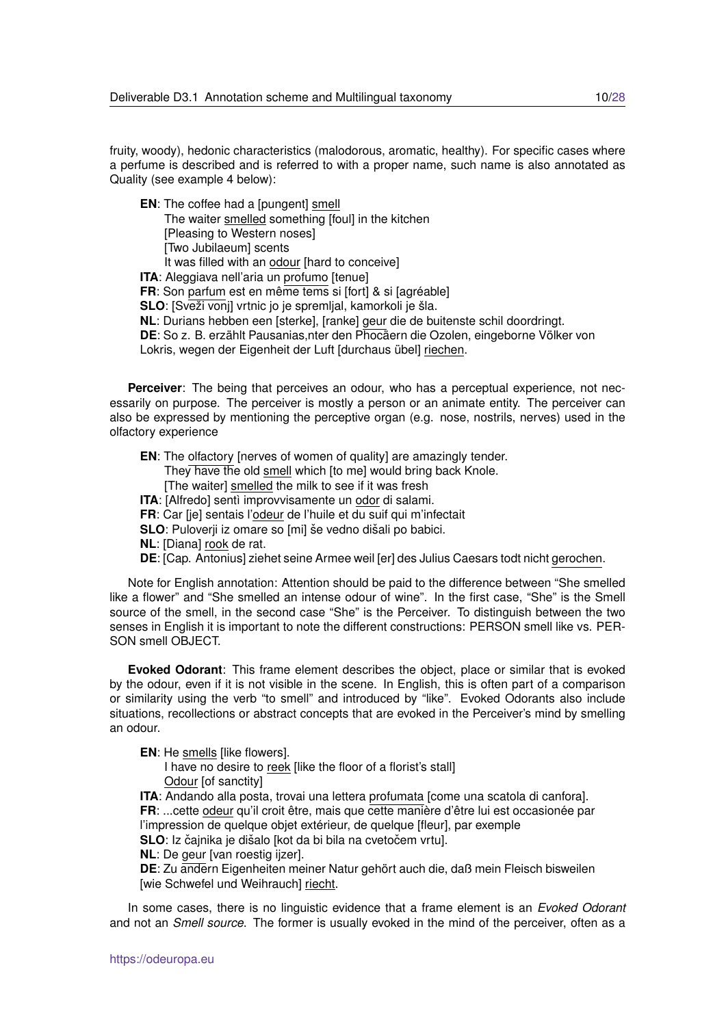fruity, woody), hedonic characteristics (malodorous, aromatic, healthy). For specific cases where a perfume is described and is referred to with a proper name, such name is also annotated as Quality (see example 4 below):

**EN**: The coffee had a [pungent] smell

The waiter smelled something [foul] in the kitchen [Pleasing to Western noses]

[Two Jubilaeum] scents

It was filled with an odour [hard to conceive]

**ITA**: Aleggiava nell'aria un profumo [tenue]

**FR**: Son parfum est en même tems si [fort] & si [agréable]

**SLO**: [Sveži vonj] vrtnic jo je spremljal, kamorkoli je šla.

**NL**: Durians hebben een [sterke], [ranke] geur die de buitenste schil doordringt.

**DE**: So z. B. erzählt Pausanias,nter den Phocaern die Ozolen, eingeborne Völker von

Lokris, wegen der Eigenheit der Luft [durchaus übel] riechen.

**Perceiver**: The being that perceives an odour, who has a perceptual experience, not necessarily on purpose. The perceiver is mostly a person or an animate entity. The perceiver can also be expressed by mentioning the perceptive organ (e.g. nose, nostrils, nerves) used in the olfactory experience

**EN**: The olfactory [nerves of women of quality] are amazingly tender.

They have the old smell which [to me] would bring back Knole.

[The waiter] smelled the milk to see if it was fresh

**ITA:** [Alfredo] sentì improvvisamente un odor di salami.

**FR**: Car [je] sentais l'odeur de l'huile et du suif qui m'infectait

**SLO**: Puloverii iz omare so [mi] še vedno dišali po babici.

**NL**: [Diana] rook de rat.

**DE**: [Cap. Antonius] ziehet seine Armee weil [er] des Julius Caesars todt nicht gerochen.

Note for English annotation: Attention should be paid to the difference between "She smelled like a flower" and "She smelled an intense odour of wine". In the first case, "She" is the Smell source of the smell, in the second case "She" is the Perceiver. To distinguish between the two senses in English it is important to note the different constructions: PERSON smell like vs. PER-SON smell OBJECT.

**Evoked Odorant**: This frame element describes the object, place or similar that is evoked by the odour, even if it is not visible in the scene. In English, this is often part of a comparison or similarity using the verb "to smell" and introduced by "like". Evoked Odorants also include situations, recollections or abstract concepts that are evoked in the Perceiver's mind by smelling an odour.

**EN:** He smells *like flowersl*.

I have no desire to reek [like the floor of a florist's stall] Odour [of sanctity]

**ITA**: Andando alla posta, trovai una lettera profumata [come una scatola di canfora]. **FR:** ...cette odeur qu'il croit être, mais que cette manière d'être lui est occasionée par l'impression de quelque objet extérieur, de quelque [fleur], par exemple

SLO: Iz čajnika je dišalo [kot da bi bila na cvetočem vrtu].

**NL**: De geur [van roestig ijzer].

**DE**: Zu andern Eigenheiten meiner Natur gehört auch die, daß mein Fleisch bisweilen [wie Schwefel und Weihrauch] riecht.

In some cases, there is no linguistic evidence that a frame element is an *Evoked Odorant* and not an *Smell source*. The former is usually evoked in the mind of the perceiver, often as a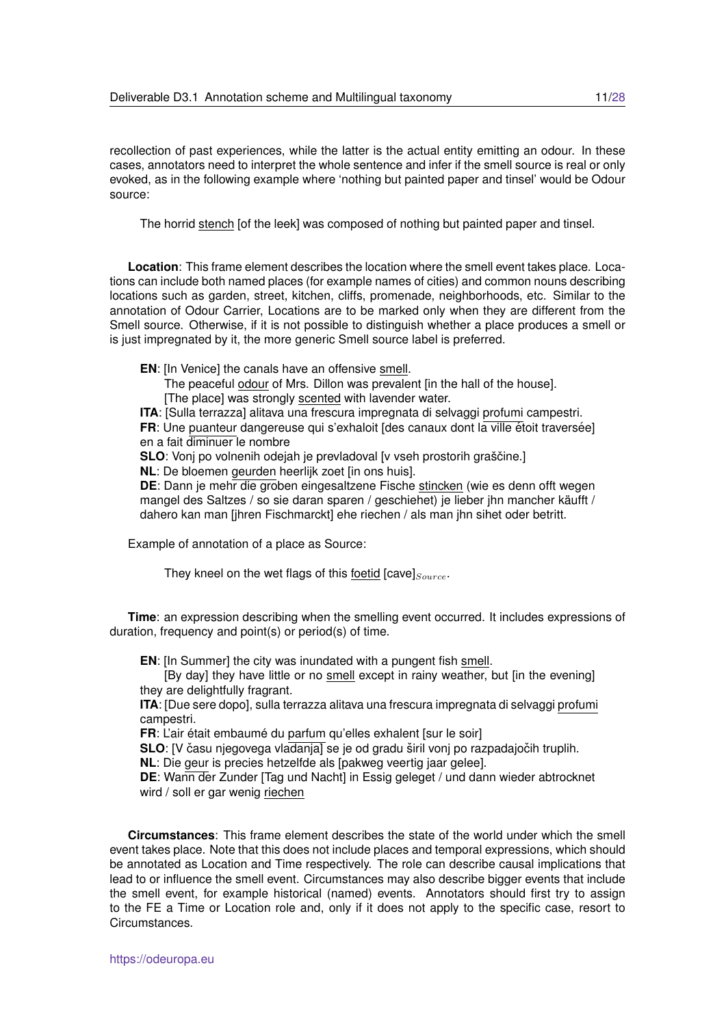recollection of past experiences, while the latter is the actual entity emitting an odour. In these cases, annotators need to interpret the whole sentence and infer if the smell source is real or only evoked, as in the following example where 'nothing but painted paper and tinsel' would be Odour source:

The horrid stench [of the leek] was composed of nothing but painted paper and tinsel.

**Location**: This frame element describes the location where the smell event takes place. Locations can include both named places (for example names of cities) and common nouns describing locations such as garden, street, kitchen, cliffs, promenade, neighborhoods, etc. Similar to the annotation of Odour Carrier, Locations are to be marked only when they are different from the Smell source. Otherwise, if it is not possible to distinguish whether a place produces a smell or is just impregnated by it, the more generic Smell source label is preferred.

**EN**: [In Venice] the canals have an offensive smell.

The peaceful odour of Mrs. Dillon was prevalent [in the hall of the house].

[The place] was strongly scented with lavender water.

**ITA**: [Sulla terrazza] alitava una frescura impregnata di selvaggi profumi campestri.

**FR:** Une puanteur dangereuse qui s'exhaloit [des canaux dont la ville étoit traversée] en a fait diminuer le nombre

**SLO**: Vonj po volnenih odejah je prevladoval [v vseh prostorih graščine.]

**NL**: De bloemen geurden heerlijk zoet [in ons huis].

**DE**: Dann je mehr die groben eingesaltzene Fische stincken (wie es denn offt wegen mangel des Saltzes / so sie daran sparen / geschiehet) je lieber jhn mancher käufft / dahero kan man [jhren Fischmarckt] ehe riechen / als man jhn sihet oder betritt.

Example of annotation of a place as Source:

They kneel on the wet flags of this foetid [cave] $_{Source}$ .

**Time**: an expression describing when the smelling event occurred. It includes expressions of duration, frequency and point(s) or period(s) of time.

**EN**: [In Summer] the city was inundated with a pungent fish smell.

[By day] they have little or no smell except in rainy weather, but [in the evening] they are delightfully fragrant.

**ITA**: [Due sere dopo], sulla terrazza alitava una frescura impregnata di selvaggi profumi campestri.

FR: L'air était embaumé du parfum qu'elles exhalent [sur le soir]

**SLO**: [V času njegovega vladanja] se je od gradu širil vonj po razpadajočih truplih.

**NL**: Die geur is precies hetzelfde als [pakweg veertig jaar gelee].

**DE**: Wann der Zunder [Tag und Nacht] in Essig geleget / und dann wieder abtrocknet wird / soll er gar wenig riechen

**Circumstances**: This frame element describes the state of the world under which the smell event takes place. Note that this does not include places and temporal expressions, which should be annotated as Location and Time respectively. The role can describe causal implications that lead to or influence the smell event. Circumstances may also describe bigger events that include the smell event, for example historical (named) events. Annotators should first try to assign to the FE a Time or Location role and, only if it does not apply to the specific case, resort to Circumstances.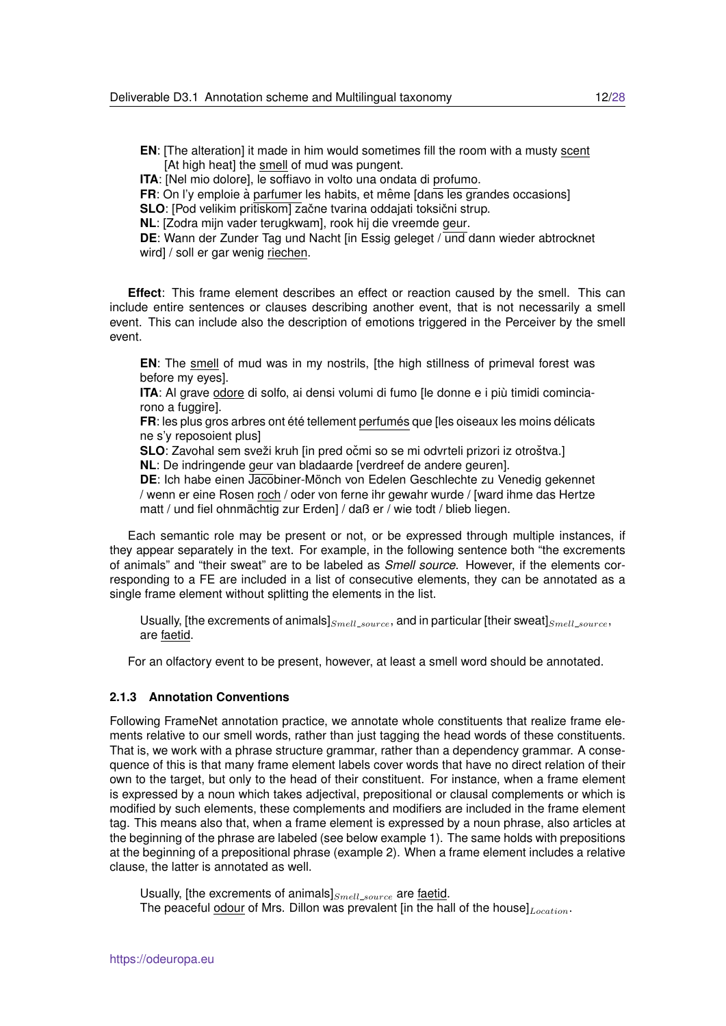**EN**: [The alteration] it made in him would sometimes fill the room with a musty scent [At high heat] the smell of mud was pungent.

**ITA**: [Nel mio dolore], le soffiavo in volto una ondata di profumo.

**FR**: On I'y emploie à parfumer les habits, et même [dans les grandes occasions]

**SLO**: [Pod velikim pritiskom] začne tvarina oddajati toksični strup.

**NL**: [Zodra mijn vader terugkwam], rook hij die vreemde geur.

**DE**: Wann der Zunder Tag und Nacht [in Essig geleget / und dann wieder abtrocknet wird] / soll er gar wenig riechen.

**Effect**: This frame element describes an effect or reaction caused by the smell. This can include entire sentences or clauses describing another event, that is not necessarily a smell event. This can include also the description of emotions triggered in the Perceiver by the smell event.

**EN**: The smell of mud was in my nostrils, [the high stillness of primeval forest was before my eyes].

ITA: Al grave odore di solfo, ai densi volumi di fumo [le donne e i più timidi cominciarono a fuggire].

FR: les plus gros arbres ont été tellement perfumés que [les oiseaux les moins délicats ne s'y reposoient plus]

**SLO**: Zavohal sem sveži kruh [in pred očmi so se mi odvrteli prizori iz otroštva.] **NL**: De indringende geur van bladaarde [verdreef de andere geuren].

**DE**: Ich habe einen Jacobiner-Mönch von Edelen Geschlechte zu Venedig gekennet / wenn er eine Rosen roch / oder von ferne ihr gewahr wurde / [ward ihme das Hertze matt / und fiel ohnmächtig zur Erden] / daß er / wie todt / blieb liegen.

Each semantic role may be present or not, or be expressed through multiple instances, if they appear separately in the text. For example, in the following sentence both "the excrements of animals" and "their sweat" are to be labeled as *Smell source*. However, if the elements corresponding to a FE are included in a list of consecutive elements, they can be annotated as a single frame element without splitting the elements in the list.

Usually, [the excrements of animals] $_{Smell\_source}$ , and in particular [their sweat] $_{Smell\_source}$ , are faetid.

For an olfactory event to be present, however, at least a smell word should be annotated.

#### <span id="page-11-0"></span>**2.1.3 Annotation Conventions**

Following FrameNet annotation practice, we annotate whole constituents that realize frame elements relative to our smell words, rather than just tagging the head words of these constituents. That is, we work with a phrase structure grammar, rather than a dependency grammar. A consequence of this is that many frame element labels cover words that have no direct relation of their own to the target, but only to the head of their constituent. For instance, when a frame element is expressed by a noun which takes adjectival, prepositional or clausal complements or which is modified by such elements, these complements and modifiers are included in the frame element tag. This means also that, when a frame element is expressed by a noun phrase, also articles at the beginning of the phrase are labeled (see below example 1). The same holds with prepositions at the beginning of a prepositional phrase (example 2). When a frame element includes a relative clause, the latter is annotated as well.

Usually, [the excrements of animals] $_{Smell\_source}$  are faetid. The peaceful odour of Mrs. Dillon was prevalent [in the hall of the house] $_{Location}$ .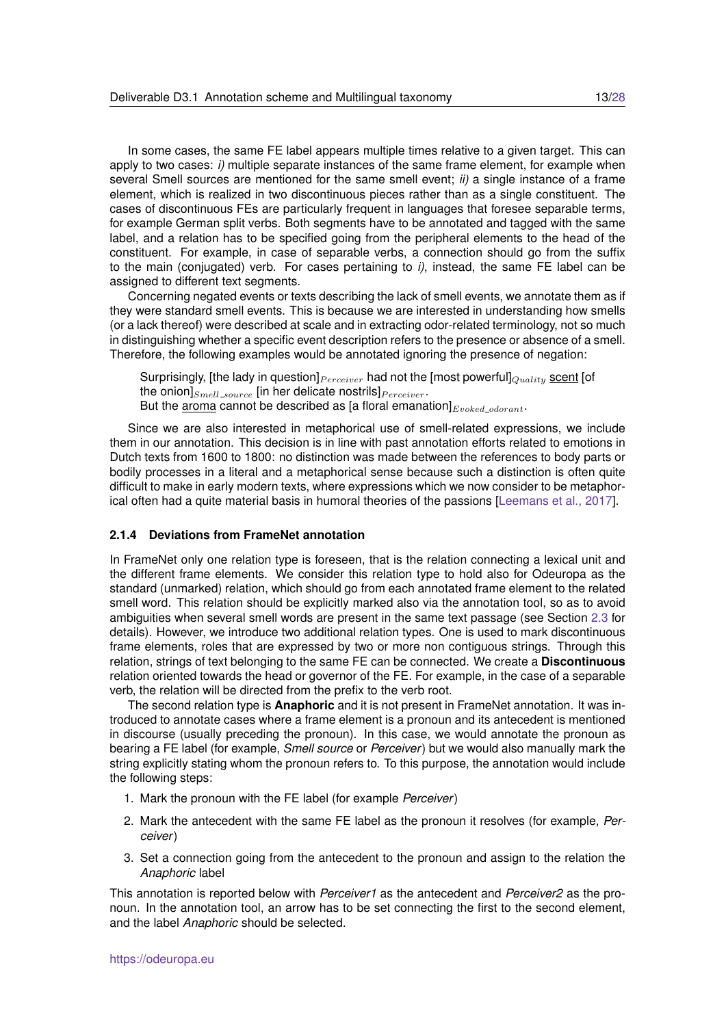In some cases, the same FE label appears multiple times relative to a given target. This can apply to two cases: *i)* multiple separate instances of the same frame element, for example when several Smell sources are mentioned for the same smell event; *ii)* a single instance of a frame element, which is realized in two discontinuous pieces rather than as a single constituent. The cases of discontinuous FEs are particularly frequent in languages that foresee separable terms, for example German split verbs. Both segments have to be annotated and tagged with the same label, and a relation has to be specified going from the peripheral elements to the head of the constituent. For example, in case of separable verbs, a connection should go from the suffix to the main (conjugated) verb. For cases pertaining to *i)*, instead, the same FE label can be assigned to different text segments.

Concerning negated events or texts describing the lack of smell events, we annotate them as if they were standard smell events. This is because we are interested in understanding how smells (or a lack thereof) were described at scale and in extracting odor-related terminology, not so much in distinguishing whether a specific event description refers to the presence or absence of a smell. Therefore, the following examples would be annotated ignoring the presence of negation:

Surprisingly, [the lady in question]  $_{Perceiver}$  had not the [most powerful]  $_{Quality}$  scent [of the onion] $_{Smell\_source}$  [in her delicate nostrils] $_{Perceiver}$ . But the aroma cannot be described as [a floral emanation] $_{Evoked\_odorant}$ .

Since we are also interested in metaphorical use of smell-related expressions, we include them in our annotation. This decision is in line with past annotation efforts related to emotions in Dutch texts from 1600 to 1800: no distinction was made between the references to body parts or bodily processes in a literal and a metaphorical sense because such a distinction is often quite difficult to make in early modern texts, where expressions which we now consider to be metaphorical often had a quite material basis in humoral theories of the passions [\[Leemans et al., 2017\]](#page-26-6).

#### <span id="page-12-0"></span>**2.1.4 Deviations from FrameNet annotation**

In FrameNet only one relation type is foreseen, that is the relation connecting a lexical unit and the different frame elements. We consider this relation type to hold also for Odeuropa as the standard (unmarked) relation, which should go from each annotated frame element to the related smell word. This relation should be explicitly marked also via the annotation tool, so as to avoid ambiguities when several smell words are present in the same text passage (see Section [2.3](#page-16-0) for details). However, we introduce two additional relation types. One is used to mark discontinuous frame elements, roles that are expressed by two or more non contiguous strings. Through this relation, strings of text belonging to the same FE can be connected. We create a **Discontinuous** relation oriented towards the head or governor of the FE. For example, in the case of a separable verb, the relation will be directed from the prefix to the verb root.

The second relation type is **Anaphoric** and it is not present in FrameNet annotation. It was introduced to annotate cases where a frame element is a pronoun and its antecedent is mentioned in discourse (usually preceding the pronoun). In this case, we would annotate the pronoun as bearing a FE label (for example, *Smell source* or *Perceiver*) but we would also manually mark the string explicitly stating whom the pronoun refers to. To this purpose, the annotation would include the following steps:

- 1. Mark the pronoun with the FE label (for example *Perceiver*)
- 2. Mark the antecedent with the same FE label as the pronoun it resolves (for example, *Perceiver*)
- 3. Set a connection going from the antecedent to the pronoun and assign to the relation the *Anaphoric* label

This annotation is reported below with *Perceiver1* as the antecedent and *Perceiver2* as the pronoun. In the annotation tool, an arrow has to be set connecting the first to the second element, and the label *Anaphoric* should be selected.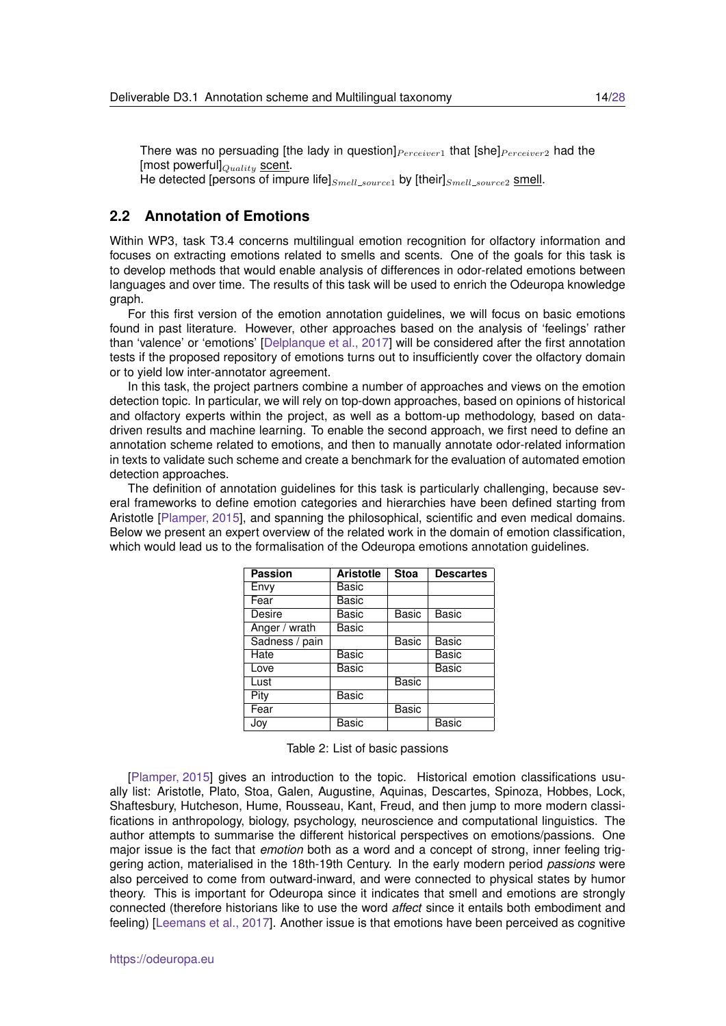There was no persuading [the lady in question] $P_{\text{erceiver}1}$  that [she] $P_{\text{erceiver}2}$  had the [most powerful] $_{Ouality}$  scent. He detected [persons of impure life] $_{Smell\_source1}$  by [their] $_{Smell\_source2}$  smell.

#### <span id="page-13-0"></span>**2.2 Annotation of Emotions**

Within WP3, task T3.4 concerns multilingual emotion recognition for olfactory information and focuses on extracting emotions related to smells and scents. One of the goals for this task is to develop methods that would enable analysis of differences in odor-related emotions between languages and over time. The results of this task will be used to enrich the Odeuropa knowledge graph.

For this first version of the emotion annotation guidelines, we will focus on basic emotions found in past literature. However, other approaches based on the analysis of 'feelings' rather than 'valence' or 'emotions' [\[Delplanque et al., 2017\]](#page-26-7) will be considered after the first annotation tests if the proposed repository of emotions turns out to insufficiently cover the olfactory domain or to yield low inter-annotator agreement.

In this task, the project partners combine a number of approaches and views on the emotion detection topic. In particular, we will rely on top-down approaches, based on opinions of historical and olfactory experts within the project, as well as a bottom-up methodology, based on datadriven results and machine learning. To enable the second approach, we first need to define an annotation scheme related to emotions, and then to manually annotate odor-related information in texts to validate such scheme and create a benchmark for the evaluation of automated emotion detection approaches.

The definition of annotation guidelines for this task is particularly challenging, because several frameworks to define emotion categories and hierarchies have been defined starting from Aristotle [\[Plamper, 2015\]](#page-27-4), and spanning the philosophical, scientific and even medical domains. Below we present an expert overview of the related work in the domain of emotion classification, which would lead us to the formalisation of the Odeuropa emotions annotation quidelines.

| <b>Passion</b> | <b>Aristotle</b> | <b>Stoa</b>  | <b>Descartes</b> |
|----------------|------------------|--------------|------------------|
| Envy           | Basic            |              |                  |
| Fear           | Basic            |              |                  |
| Desire         | Basic            | <b>Basic</b> | <b>Basic</b>     |
| Anger / wrath  | Basic            |              |                  |
| Sadness / pain |                  | <b>Basic</b> | Basic            |
| Hate           | Basic            |              | Basic            |
| Love           | Basic            |              | Basic            |
| Lust           |                  | Basic        |                  |
| Pity           | Basic            |              |                  |
| Fear           |                  | Basic        |                  |
| Joy            | Basic            |              | Basic            |

<span id="page-13-1"></span>

|  |  |  | Table 2: List of basic passions |
|--|--|--|---------------------------------|
|--|--|--|---------------------------------|

[\[Plamper, 2015\]](#page-27-4) gives an introduction to the topic. Historical emotion classifications usually list: Aristotle, Plato, Stoa, Galen, Augustine, Aquinas, Descartes, Spinoza, Hobbes, Lock, Shaftesbury, Hutcheson, Hume, Rousseau, Kant, Freud, and then jump to more modern classifications in anthropology, biology, psychology, neuroscience and computational linguistics. The author attempts to summarise the different historical perspectives on emotions/passions. One major issue is the fact that *emotion* both as a word and a concept of strong, inner feeling triggering action, materialised in the 18th-19th Century. In the early modern period *passions* were also perceived to come from outward-inward, and were connected to physical states by humor theory. This is important for Odeuropa since it indicates that smell and emotions are strongly connected (therefore historians like to use the word *affect* since it entails both embodiment and feeling) [\[Leemans et al., 2017\]](#page-26-6). Another issue is that emotions have been perceived as cognitive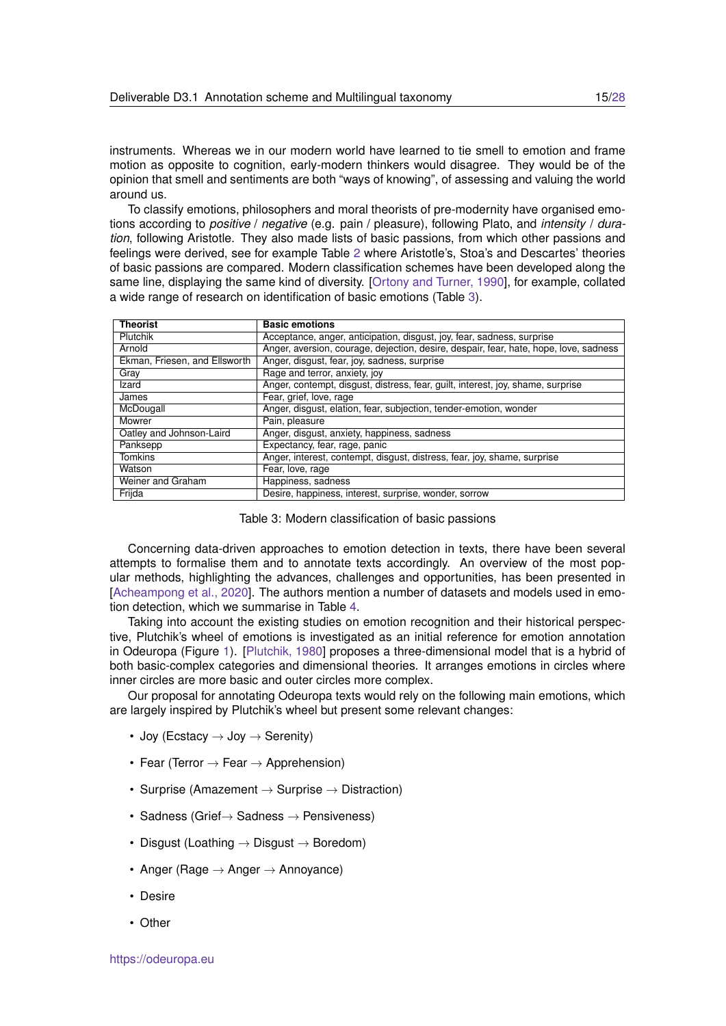instruments. Whereas we in our modern world have learned to tie smell to emotion and frame motion as opposite to cognition, early-modern thinkers would disagree. They would be of the opinion that smell and sentiments are both "ways of knowing", of assessing and valuing the world around us.

To classify emotions, philosophers and moral theorists of pre-modernity have organised emotions according to *positive* / *negative* (e.g. pain / pleasure), following Plato, and *intensity* / *duration*, following Aristotle. They also made lists of basic passions, from which other passions and feelings were derived, see for example Table [2](#page-13-1) where Aristotle's, Stoa's and Descartes' theories of basic passions are compared. Modern classification schemes have been developed along the same line, displaying the same kind of diversity. [\[Ortony and Turner, 1990\]](#page-27-5), for example, collated a wide range of research on identification of basic emotions (Table [3\)](#page-14-0).

| <b>Theorist</b>               | <b>Basic emotions</b>                                                                 |
|-------------------------------|---------------------------------------------------------------------------------------|
| Plutchik                      | Acceptance, anger, anticipation, disgust, joy, fear, sadness, surprise                |
| Arnold                        | Anger, aversion, courage, dejection, desire, despair, fear, hate, hope, love, sadness |
| Ekman, Friesen, and Ellsworth | Anger, disgust, fear, joy, sadness, surprise                                          |
| Gray                          | Rage and terror, anxiety, joy                                                         |
| Izard                         | Anger, contempt, disgust, distress, fear, guilt, interest, joy, shame, surprise       |
| James                         | Fear, grief, love, rage                                                               |
| McDougall                     | Anger, disgust, elation, fear, subjection, tender-emotion, wonder                     |
| Mowrer                        | Pain, pleasure                                                                        |
| Oatley and Johnson-Laird      | Anger, disgust, anxiety, happiness, sadness                                           |
| Panksepp                      | Expectancy, fear, rage, panic                                                         |
| <b>Tomkins</b>                | Anger, interest, contempt, disgust, distress, fear, joy, shame, surprise              |
| Watson                        | Fear, love, rage                                                                      |
| Weiner and Graham             | Happiness, sadness                                                                    |
| Frijda                        | Desire, happiness, interest, surprise, wonder, sorrow                                 |

<span id="page-14-0"></span>

|  |  |  | Table 3: Modern classification of basic passions |
|--|--|--|--------------------------------------------------|
|--|--|--|--------------------------------------------------|

Concerning data-driven approaches to emotion detection in texts, there have been several attempts to formalise them and to annotate texts accordingly. An overview of the most popular methods, highlighting the advances, challenges and opportunities, has been presented in [\[Acheampong et al., 2020\]](#page-25-0). The authors mention a number of datasets and models used in emotion detection, which we summarise in Table [4.](#page-15-0)

Taking into account the existing studies on emotion recognition and their historical perspective, Plutchik's wheel of emotions is investigated as an initial reference for emotion annotation in Odeuropa (Figure [1\)](#page-16-1). [\[Plutchik, 1980\]](#page-27-6) proposes a three-dimensional model that is a hybrid of both basic-complex categories and dimensional theories. It arranges emotions in circles where inner circles are more basic and outer circles more complex.

Our proposal for annotating Odeuropa texts would rely on the following main emotions, which are largely inspired by Plutchik's wheel but present some relevant changes:

- Joy (Ecstacy  $\rightarrow$  Joy  $\rightarrow$  Serenity)
- Fear (Terror  $\rightarrow$  Fear  $\rightarrow$  Apprehension)
- Surprise (Amazement  $\rightarrow$  Surprise  $\rightarrow$  Distraction)
- Sadness (Grief $\rightarrow$  Sadness  $\rightarrow$  Pensiveness)
- Disgust (Loathing  $\rightarrow$  Disgust  $\rightarrow$  Boredom)
- Anger (Rage  $\rightarrow$  Anger  $\rightarrow$  Annoyance)
- Desire
- Other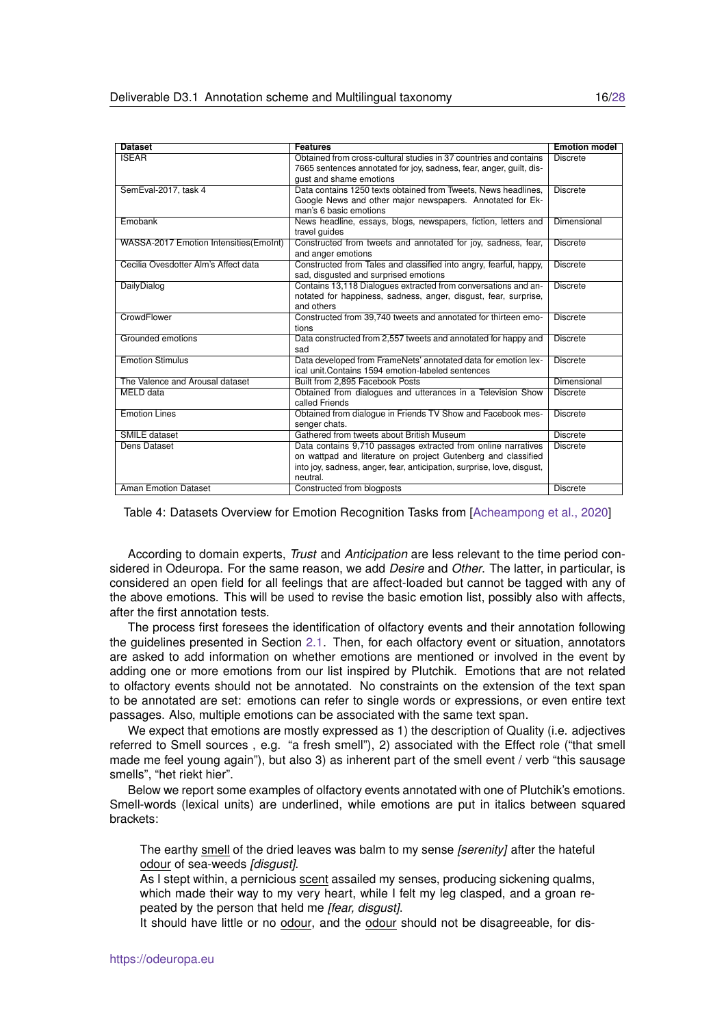| <b>Dataset</b>                         | <b>Features</b>                                                                                                                                                                                                      | <b>Emotion model</b> |
|----------------------------------------|----------------------------------------------------------------------------------------------------------------------------------------------------------------------------------------------------------------------|----------------------|
| <b>ISEAR</b>                           | Obtained from cross-cultural studies in 37 countries and contains<br>7665 sentences annotated for joy, sadness, fear, anger, quilt, dis-<br>qust and shame emotions                                                  | <b>Discrete</b>      |
| SemEval-2017, task 4                   | Data contains 1250 texts obtained from Tweets, News headlines,<br>Google News and other major newspapers. Annotated for Ek-<br>man's 6 basic emotions                                                                | <b>Discrete</b>      |
| Emobank                                | News headline, essays, blogs, newspapers, fiction, letters and<br>travel guides                                                                                                                                      | Dimensional          |
| WASSA-2017 Emotion Intensities(EmoInt) | Constructed from tweets and annotated for joy, sadness, fear,<br>and anger emotions                                                                                                                                  | <b>Discrete</b>      |
| Cecilia Ovesdotter Alm's Affect data   | Constructed from Tales and classified into angry, fearful, happy,<br>sad, disgusted and surprised emotions                                                                                                           | <b>Discrete</b>      |
| DailyDialog                            | Contains 13,118 Dialogues extracted from conversations and an-<br>notated for happiness, sadness, anger, disgust, fear, surprise,<br>and others                                                                      | <b>Discrete</b>      |
| CrowdFlower                            | Constructed from 39,740 tweets and annotated for thirteen emo-<br>tions                                                                                                                                              | <b>Discrete</b>      |
| Grounded emotions                      | Data constructed from 2,557 tweets and annotated for happy and<br>sad                                                                                                                                                | <b>Discrete</b>      |
| <b>Emotion Stimulus</b>                | Data developed from FrameNets' annotated data for emotion lex-<br>ical unit. Contains 1594 emotion-labeled sentences                                                                                                 | <b>Discrete</b>      |
| The Valence and Arousal dataset        | Built from 2,895 Facebook Posts                                                                                                                                                                                      | Dimensional          |
| MELD data                              | Obtained from dialogues and utterances in a Television Show<br>called Friends                                                                                                                                        | <b>Discrete</b>      |
| <b>Emotion Lines</b>                   | Obtained from dialogue in Friends TV Show and Facebook mes-<br>senger chats.                                                                                                                                         | <b>Discrete</b>      |
| SMILE dataset                          | Gathered from tweets about British Museum                                                                                                                                                                            | <b>Discrete</b>      |
| Dens Dataset                           | Data contains 9,710 passages extracted from online narratives<br>on wattpad and literature on project Gutenberg and classified<br>into joy, sadness, anger, fear, anticipation, surprise, love, disgust,<br>neutral. | <b>Discrete</b>      |
| <b>Aman Emotion Dataset</b>            | Constructed from blogposts                                                                                                                                                                                           | <b>Discrete</b>      |

#### <span id="page-15-0"></span>Table 4: Datasets Overview for Emotion Recognition Tasks from [\[Acheampong et al., 2020\]](#page-25-0)

According to domain experts, *Trust* and *Anticipation* are less relevant to the time period considered in Odeuropa. For the same reason, we add *Desire* and *Other*. The latter, in particular, is considered an open field for all feelings that are affect-loaded but cannot be tagged with any of the above emotions. This will be used to revise the basic emotion list, possibly also with affects, after the first annotation tests.

The process first foresees the identification of olfactory events and their annotation following the guidelines presented in Section [2.1.](#page-6-1) Then, for each olfactory event or situation, annotators are asked to add information on whether emotions are mentioned or involved in the event by adding one or more emotions from our list inspired by Plutchik. Emotions that are not related to olfactory events should not be annotated. No constraints on the extension of the text span to be annotated are set: emotions can refer to single words or expressions, or even entire text passages. Also, multiple emotions can be associated with the same text span.

We expect that emotions are mostly expressed as 1) the description of Quality (i.e. adjectives referred to Smell sources , e.g. "a fresh smell"), 2) associated with the Effect role ("that smell made me feel young again"), but also 3) as inherent part of the smell event / verb "this sausage smells", "het riekt hier".

Below we report some examples of olfactory events annotated with one of Plutchik's emotions. Smell-words (lexical units) are underlined, while emotions are put in italics between squared brackets:

The earthy smell of the dried leaves was balm to my sense *[serenity]* after the hateful odour of sea-weeds *[disgust]*.

As I stept within, a pernicious scent assailed my senses, producing sickening qualms, which made their way to my very heart, while I felt my leg clasped, and a groan repeated by the person that held me *[fear, disgust]*.

It should have little or no odour, and the odour should not be disagreeable, for dis-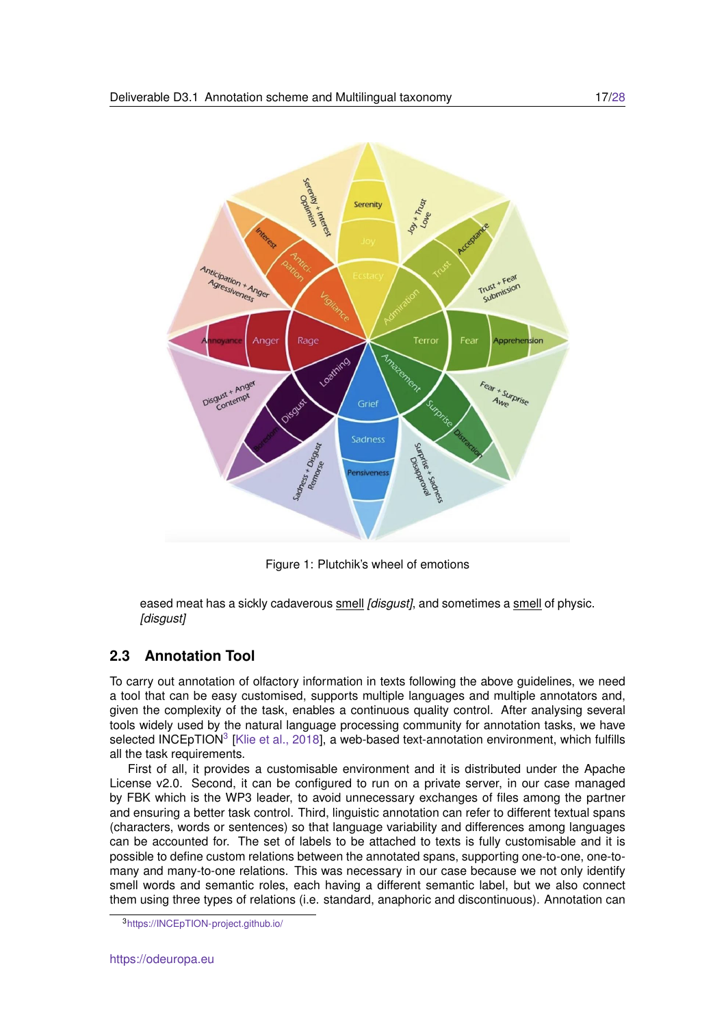

<span id="page-16-1"></span>Figure 1: Plutchik's wheel of emotions

eased meat has a sickly cadaverous smell *[disgust]*, and sometimes a smell of physic. *[disgust]*

## <span id="page-16-0"></span>**2.3 Annotation Tool**

To carry out annotation of olfactory information in texts following the above guidelines, we need a tool that can be easy customised, supports multiple languages and multiple annotators and, given the complexity of the task, enables a continuous quality control. After analysing several tools widely used by the natural language processing community for annotation tasks, we have selected INCEpTION<sup>[3](#page-16-2)</sup> [\[Klie et al., 2018\]](#page-26-1), a web-based text-annotation environment, which fulfills all the task requirements.

First of all, it provides a customisable environment and it is distributed under the Apache License v2.0. Second, it can be configured to run on a private server, in our case managed by FBK which is the WP3 leader, to avoid unnecessary exchanges of files among the partner and ensuring a better task control. Third, linguistic annotation can refer to different textual spans (characters, words or sentences) so that language variability and differences among languages can be accounted for. The set of labels to be attached to texts is fully customisable and it is possible to define custom relations between the annotated spans, supporting one-to-one, one-tomany and many-to-one relations. This was necessary in our case because we not only identify smell words and semantic roles, each having a different semantic label, but we also connect them using three types of relations (i.e. standard, anaphoric and discontinuous). Annotation can

<span id="page-16-2"></span><sup>3</sup><https://INCEpTION-project.github.io/>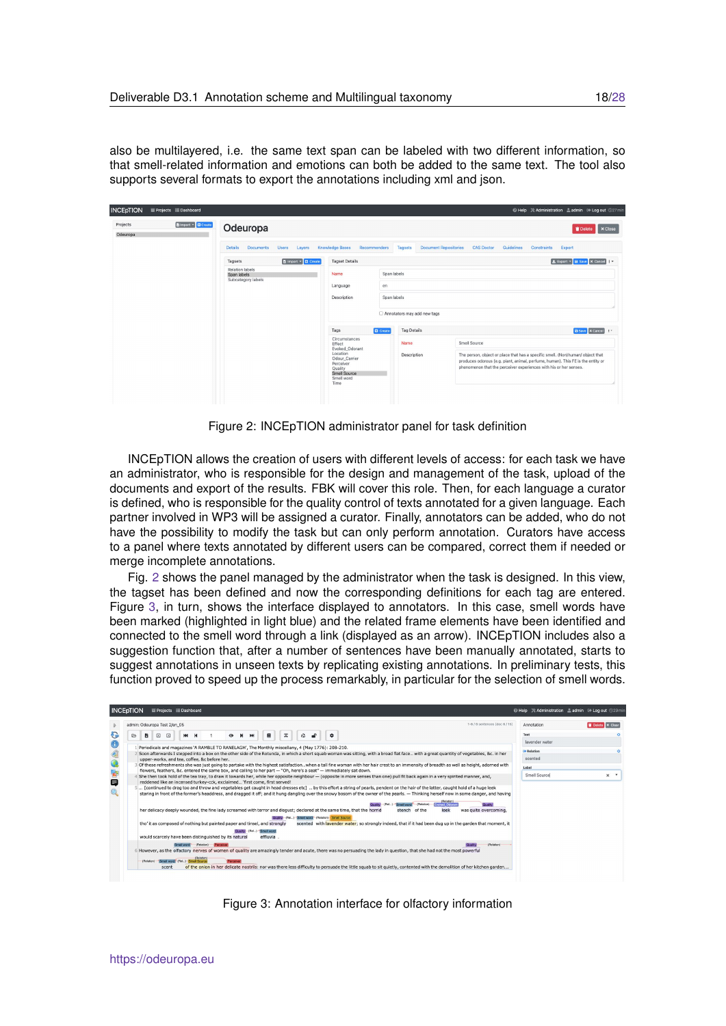also be multilayered, i.e. the same text span can be labeled with two different information, so that smell-related information and emotions can both be added to the same text. The tool also supports several formats to export the annotations including xml and json.

| <b>INCEpTION</b><br>Projects EDashboard            |                                                              |                                                                                                |                                         |                                                                   | © Help ※ Administration & admin <sup> 6</sup> Log out ①27 min                                                                                                     |
|----------------------------------------------------|--------------------------------------------------------------|------------------------------------------------------------------------------------------------|-----------------------------------------|-------------------------------------------------------------------|-------------------------------------------------------------------------------------------------------------------------------------------------------------------|
| <b>B</b> Import - C Create<br>Projects<br>Odeuropa | Odeuropa                                                     |                                                                                                |                                         |                                                                   | <b>x</b> Close<br><b>Delete</b>                                                                                                                                   |
|                                                    | <b>Details</b><br><b>Documents</b><br><b>Users</b><br>Layers | <b>Knowledge Bases</b><br>Recommenders                                                         | <b>Document Repositories</b><br>Tagsets | Guidelines<br><b>CAS Doctor</b>                                   | Constraints<br>Export                                                                                                                                             |
|                                                    | <b>b</b> Import - <b>D</b> Create<br>Tagsets                 | <b>Tagset Details</b>                                                                          |                                         |                                                                   | L Export + B Save X Cancel   -                                                                                                                                    |
|                                                    | Relation labels<br>Span labels<br>Subcategory labels         | Name<br>Span labels                                                                            |                                         |                                                                   |                                                                                                                                                                   |
|                                                    |                                                              | Language<br>en                                                                                 |                                         |                                                                   |                                                                                                                                                                   |
|                                                    |                                                              | Span labels<br>Description                                                                     |                                         |                                                                   |                                                                                                                                                                   |
|                                                    |                                                              | □ Annotators may add new tags                                                                  |                                         |                                                                   |                                                                                                                                                                   |
|                                                    |                                                              | Tags<br><b>D</b> Create                                                                        | <b>Tag Details</b>                      |                                                                   | <b>B</b> Save <b>X</b> Cancel <b>E</b>                                                                                                                            |
|                                                    |                                                              | Circumstances<br>Effect<br>Evoked_Odorant                                                      | Name                                    | Smell Source                                                      |                                                                                                                                                                   |
|                                                    |                                                              | Location<br>Odour Carrier<br>Perceiver<br>Quality<br><b>Smell Source</b><br>Smell word<br>Time | Description                             | phenomenon that the perceiver experiences with his or her senses. | The person, object or place that has a specific smell. (Non)human/ object that<br>produces odorous (e.g. plant, animal, perfume, human). This FE is the entity or |
|                                                    |                                                              |                                                                                                |                                         |                                                                   |                                                                                                                                                                   |

<span id="page-17-0"></span>Figure 2: INCEpTION administrator panel for task definition

INCEpTION allows the creation of users with different levels of access: for each task we have an administrator, who is responsible for the design and management of the task, upload of the documents and export of the results. FBK will cover this role. Then, for each language a curator is defined, who is responsible for the quality control of texts annotated for a given language. Each partner involved in WP3 will be assigned a curator. Finally, annotators can be added, who do not have the possibility to modify the task but can only perform annotation. Curators have access to a panel where texts annotated by different users can be compared, correct them if needed or merge incomplete annotations.

Fig. [2](#page-17-0) shows the panel managed by the administrator when the task is designed. In this view, the tagset has been defined and now the corresponding definitions for each tag are entered. Figure [3,](#page-17-1) in turn, shows the interface displayed to annotators. In this case, smell words have been marked (highlighted in light blue) and the related frame elements have been identified and connected to the smell word through a link (displayed as an arrow). INCEpTION includes also a suggestion function that, after a number of sentences have been manually annotated, starts to suggest annotations in unseen texts by replicating existing annotations. In preliminary tests, this function proved to speed up the process remarkably, in particular for the selection of smell words.

| admin: Odeuropa Test 2/en_05                                                                                                                                                                                                                                                                                                                                                                                                                                                                                                                                                                                                                      | 1-6 / 6 sentences (doc 6 / 15)<br>Annotation                                                                                                                          | Delete X Clear    |
|---------------------------------------------------------------------------------------------------------------------------------------------------------------------------------------------------------------------------------------------------------------------------------------------------------------------------------------------------------------------------------------------------------------------------------------------------------------------------------------------------------------------------------------------------------------------------------------------------------------------------------------------------|-----------------------------------------------------------------------------------------------------------------------------------------------------------------------|-------------------|
| z<br>$\triangleright$<br>в<br>Е<br>⊡<br>▣<br>ю<br>м<br>$\bullet$<br><b>HH</b><br>≎                                                                                                                                                                                                                                                                                                                                                                                                                                                                                                                                                                | Text<br>lavender water                                                                                                                                                |                   |
| Periodicals and magazines 'A RAMBLE TO RANELAGH', The Monthly miscellany, 4 (May 1776): 208-210.<br>Soon afterwards I stepped into a box on the other side of the Rotunda, in which a short squab woman was sitting, with a broad flat face with a great quantity of vegetables, &c. in her<br>upper-works, and tea, coffee, &c before her.                                                                                                                                                                                                                                                                                                       | <b>E</b> Relation<br>scented                                                                                                                                          |                   |
| Of these refreshments she was just going to partake with the highest satisfactionwhen a tall fine woman with her hair crest to an immensity of breadth as well as height, adorned with<br>flowers, feathers, &c. entered the same box, and calling to her part - "Oh, here's a seat" - immediately sat down.                                                                                                                                                                                                                                                                                                                                      | Label                                                                                                                                                                 |                   |
| She then took hold of the tea tray, to draw it towards her, while her opposite neighbour - (opposite in more senses than one) pull fit back again in a very spirited manner, and,<br>reddened like an incensed turkey-cck, exclaimed 'first come, first served!<br>5. Continued to drag too and throw and vegetables get caught in head dresses etc1  by this effort a string of pearls, pendent on the hair of the latter, caught hold of a huge leek<br>staring in front of the former's headdress, and dragged it off; and it hung dangling over the snowy bosom of the owner of the pearls. - Thinking herself now in some danger, and having | Smell Source                                                                                                                                                          | $\times$ $\times$ |
| her delicacy deeply wounded, the fine lady screamed with terror and disqust; declared at the same time, that the horrid<br>Quality (Rel) Small word (Relation) Small Source                                                                                                                                                                                                                                                                                                                                                                                                                                                                       | (Relation)<br><b>Voiced Odoran</b><br>leek<br>of the<br>was quite overcoming,<br>stench                                                                               |                   |
| tho' it as composed of nothing but painted paper and tinsel, and strongly                                                                                                                                                                                                                                                                                                                                                                                                                                                                                                                                                                         | scented with lavender water; so strongly indeed, that if it had been dug up in the garden that moment, it                                                             |                   |
| Smell word<br>effluvia<br>would scarcely have been distinguished by its natural                                                                                                                                                                                                                                                                                                                                                                                                                                                                                                                                                                   |                                                                                                                                                                       |                   |
| (Relation)<br>However, as the olfactory nerves of women of quality are amazingly tender and acute, there was no persuading the lady in question, that she had not the most powerful<br>(Relation)<br>Smell word (Rel) Smell Source<br>(Relation)                                                                                                                                                                                                                                                                                                                                                                                                  | (Relation)                                                                                                                                                            |                   |
| scent                                                                                                                                                                                                                                                                                                                                                                                                                                                                                                                                                                                                                                             | of the onion in her delicate nostrils: nor was there less difficulty to persuade the little squab to sit quietly, contented with the demolition of her kitchen garden |                   |

<span id="page-17-1"></span>Figure 3: Annotation interface for olfactory information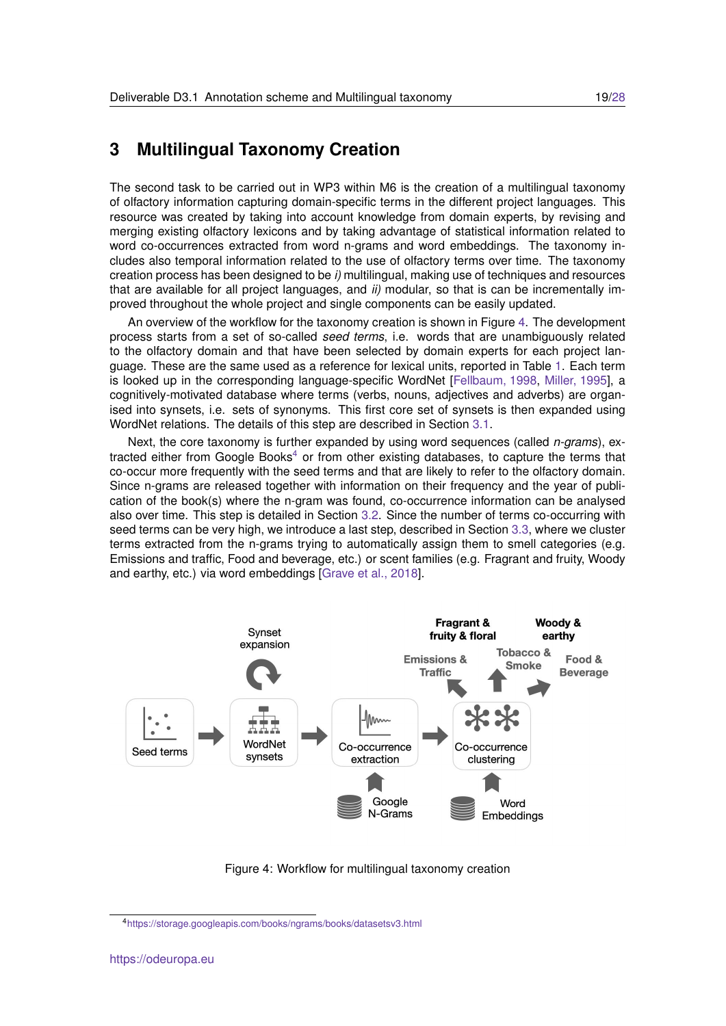# <span id="page-18-0"></span>**3 Multilingual Taxonomy Creation**

The second task to be carried out in WP3 within M6 is the creation of a multilingual taxonomy of olfactory information capturing domain-specific terms in the different project languages. This resource was created by taking into account knowledge from domain experts, by revising and merging existing olfactory lexicons and by taking advantage of statistical information related to word co-occurrences extracted from word n-grams and word embeddings. The taxonomy includes also temporal information related to the use of olfactory terms over time. The taxonomy creation process has been designed to be *i)* multilingual, making use of techniques and resources that are available for all project languages, and *ii)* modular, so that is can be incrementally improved throughout the whole project and single components can be easily updated.

An overview of the workflow for the taxonomy creation is shown in Figure [4.](#page-18-1) The development process starts from a set of so-called *seed terms*, i.e. words that are unambiguously related to the olfactory domain and that have been selected by domain experts for each project language. These are the same used as a reference for lexical units, reported in Table [1.](#page-8-0) Each term is looked up in the corresponding language-specific WordNet [\[Fellbaum, 1998,](#page-26-8) [Miller, 1995\]](#page-27-2), a cognitively-motivated database where terms (verbs, nouns, adjectives and adverbs) are organised into synsets, i.e. sets of synonyms. This first core set of synsets is then expanded using WordNet relations. The details of this step are described in Section [3.1.](#page-19-0)

Next, the core taxonomy is further expanded by using word sequences (called *n-grams*), ex-tracted either from Google Books<sup>[4](#page-18-2)</sup> or from other existing databases, to capture the terms that co-occur more frequently with the seed terms and that are likely to refer to the olfactory domain. Since n-grams are released together with information on their frequency and the year of publication of the book(s) where the n-gram was found, co-occurrence information can be analysed also over time. This step is detailed in Section [3.2.](#page-20-0) Since the number of terms co-occurring with seed terms can be very high, we introduce a last step, described in Section [3.3,](#page-21-0) where we cluster terms extracted from the n-grams trying to automatically assign them to smell categories (e.g. Emissions and traffic, Food and beverage, etc.) or scent families (e.g. Fragrant and fruity, Woody and earthy, etc.) via word embeddings [\[Grave et al., 2018\]](#page-26-4).



<span id="page-18-1"></span>Figure 4: Workflow for multilingual taxonomy creation

<span id="page-18-2"></span><sup>4</sup><https://storage.googleapis.com/books/ngrams/books/datasetsv3.html>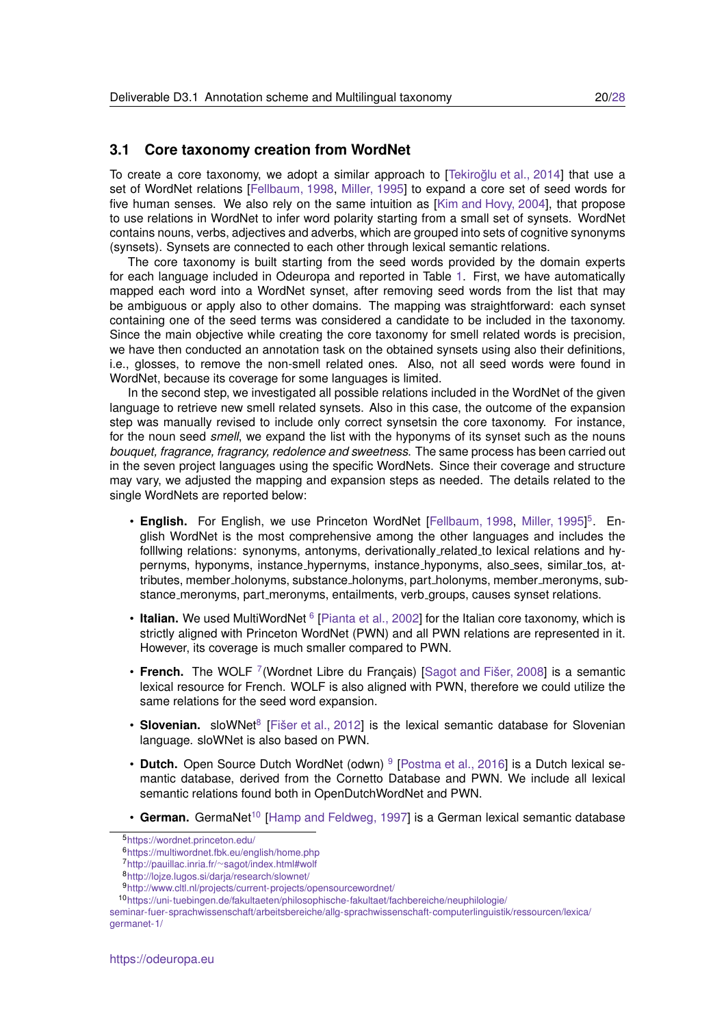#### <span id="page-19-0"></span>**3.1 Core taxonomy creation from WordNet**

To create a core taxonomy, we adopt a similar approach to [Tekiroğlu et al., 2014] that use a set of WordNet relations [\[Fellbaum, 1998,](#page-26-8) [Miller, 1995\]](#page-27-2) to expand a core set of seed words for five human senses. We also rely on the same intuition as [\[Kim and Hovy, 2004\]](#page-26-9), that propose to use relations in WordNet to infer word polarity starting from a small set of synsets. WordNet contains nouns, verbs, adjectives and adverbs, which are grouped into sets of cognitive synonyms (synsets). Synsets are connected to each other through lexical semantic relations.

The core taxonomy is built starting from the seed words provided by the domain experts for each language included in Odeuropa and reported in Table [1.](#page-8-0) First, we have automatically mapped each word into a WordNet synset, after removing seed words from the list that may be ambiguous or apply also to other domains. The mapping was straightforward: each synset containing one of the seed terms was considered a candidate to be included in the taxonomy. Since the main objective while creating the core taxonomy for smell related words is precision, we have then conducted an annotation task on the obtained synsets using also their definitions, i.e., glosses, to remove the non-smell related ones. Also, not all seed words were found in WordNet, because its coverage for some languages is limited.

In the second step, we investigated all possible relations included in the WordNet of the given language to retrieve new smell related synsets. Also in this case, the outcome of the expansion step was manually revised to include only correct synsetsin the core taxonomy. For instance, for the noun seed *smell*, we expand the list with the hyponyms of its synset such as the nouns *bouquet, fragrance, fragrancy, redolence and sweetness*. The same process has been carried out in the seven project languages using the specific WordNets. Since their coverage and structure may vary, we adjusted the mapping and expansion steps as needed. The details related to the single WordNets are reported below:

- English. For English, we use Princeton WordNet [\[Fellbaum, 1998,](#page-26-8) [Miller, 1995\]](#page-27-2)<sup>[5](#page-19-1)</sup>. English WordNet is the most comprehensive among the other languages and includes the folllwing relations: synonyms, antonyms, derivationally related to lexical relations and hypernyms, hyponyms, instance\_hypernyms, instance\_hyponyms, also\_sees, similar\_tos, attributes, member\_holonyms, substance\_holonyms, part\_holonyms, member\_meronyms, substance meronyms, part meronyms, entailments, verb groups, causes synset relations.
- Italian. We used MultiWordNet <sup>[6](#page-19-2)</sup> [\[Pianta et al., 2002\]](#page-27-8) for the Italian core taxonomy, which is strictly aligned with Princeton WordNet (PWN) and all PWN relations are represented in it. However, its coverage is much smaller compared to PWN.
- French. The WOLF<sup>[7](#page-19-3)</sup> (Wordnet Libre du Français) [Sagot and Fišer, 2008] is a semantic lexical resource for French. WOLF is also aligned with PWN, therefore we could utilize the same relations for the seed word expansion.
- Slovenian. sloWNet<sup>[8](#page-19-4)</sup> [Fišer et al., 2012] is the lexical semantic database for Slovenian language. sloWNet is also based on PWN.
- Dutch. Open Source Dutch WordNet (odwn) <sup>[9](#page-19-5)</sup> [\[Postma et al., 2016\]](#page-27-10) is a Dutch lexical semantic database, derived from the Cornetto Database and PWN. We include all lexical semantic relations found both in OpenDutchWordNet and PWN.
- German. GermaNet<sup>[10](#page-19-6)</sup> [\[Hamp and Feldweg, 1997\]](#page-26-11) is a German lexical semantic database

<span id="page-19-1"></span><sup>5</sup><https://wordnet.princeton.edu/>

<span id="page-19-2"></span><sup>6</sup><https://multiwordnet.fbk.eu/english/home.php>

<span id="page-19-3"></span><sup>7</sup>http://pauillac.inria.fr/∼[sagot/index.html#wolf](http://pauillac.inria.fr/~sagot/index.html#wolf)

<span id="page-19-4"></span><sup>8</sup><http://lojze.lugos.si/darja/research/slownet/>

<span id="page-19-6"></span><span id="page-19-5"></span><sup>9</sup><http://www.cltl.nl/projects/current-projects/opensourcewordnet/>

<sup>10</sup>[https://uni-tuebingen.de/fakultaeten/philosophische-fakultaet/fachbereiche/neuphilologie/](https://uni-tuebingen.de/fakultaeten/philosophische-fakultaet/fachbereiche/neuphilologie/seminar-fuer-sprachwissenschaft/arbeitsbereiche/allg-sprachwissenschaft-computerlinguistik/ressourcen/lexica/germanet-1/)

[seminar-fuer-sprachwissenschaft/arbeitsbereiche/allg-sprachwissenschaft-computerlinguistik/ressourcen/lexica/](https://uni-tuebingen.de/fakultaeten/philosophische-fakultaet/fachbereiche/neuphilologie/seminar-fuer-sprachwissenschaft/arbeitsbereiche/allg-sprachwissenschaft-computerlinguistik/ressourcen/lexica/germanet-1/) [germanet-1/](https://uni-tuebingen.de/fakultaeten/philosophische-fakultaet/fachbereiche/neuphilologie/seminar-fuer-sprachwissenschaft/arbeitsbereiche/allg-sprachwissenschaft-computerlinguistik/ressourcen/lexica/germanet-1/)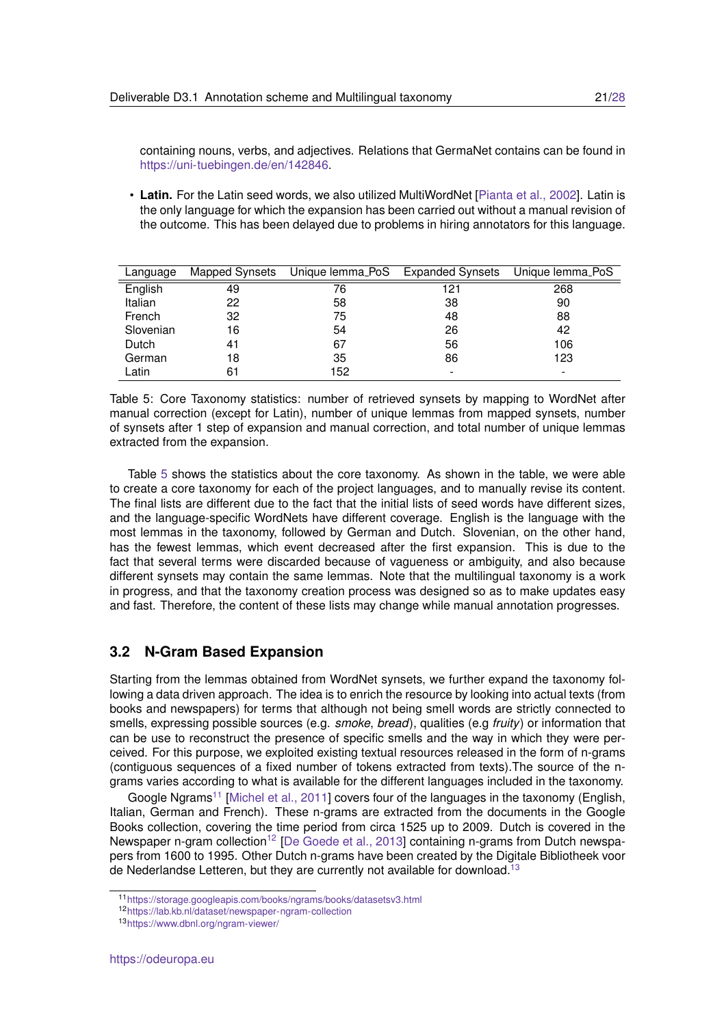containing nouns, verbs, and adjectives. Relations that GermaNet contains can be found in [https://uni-tuebingen.de/en/142846.](https://uni-tuebingen.de/en/142846)

• **Latin.** For the Latin seed words, we also utilized MultiWordNet [\[Pianta et al., 2002\]](#page-27-8). Latin is the only language for which the expansion has been carried out without a manual revision of the outcome. This has been delayed due to problems in hiring annotators for this language.

| Language  | Mapped Synsets | Unique lemma_PoS | <b>Expanded Synsets</b> | Unique lemma_PoS |
|-----------|----------------|------------------|-------------------------|------------------|
| English   | 49             | 76               | 121                     | 268              |
| Italian   | 22             | 58               | 38                      | 90               |
| French    | 32             | 75               | 48                      | 88               |
| Slovenian | 16             | 54               | 26                      | 42               |
| Dutch     | 41             | 67               | 56                      | 106              |
| German    | 18             | 35               | 86                      | 123              |
| Latin     | 61             | 152              |                         |                  |

<span id="page-20-1"></span>Table 5: Core Taxonomy statistics: number of retrieved synsets by mapping to WordNet after manual correction (except for Latin), number of unique lemmas from mapped synsets, number of synsets after 1 step of expansion and manual correction, and total number of unique lemmas extracted from the expansion.

Table [5](#page-20-1) shows the statistics about the core taxonomy. As shown in the table, we were able to create a core taxonomy for each of the project languages, and to manually revise its content. The final lists are different due to the fact that the initial lists of seed words have different sizes, and the language-specific WordNets have different coverage. English is the language with the most lemmas in the taxonomy, followed by German and Dutch. Slovenian, on the other hand, has the fewest lemmas, which event decreased after the first expansion. This is due to the fact that several terms were discarded because of vagueness or ambiguity, and also because different synsets may contain the same lemmas. Note that the multilingual taxonomy is a work in progress, and that the taxonomy creation process was designed so as to make updates easy and fast. Therefore, the content of these lists may change while manual annotation progresses.

### <span id="page-20-0"></span>**3.2 N-Gram Based Expansion**

Starting from the lemmas obtained from WordNet synsets, we further expand the taxonomy following a data driven approach. The idea is to enrich the resource by looking into actual texts (from books and newspapers) for terms that although not being smell words are strictly connected to smells, expressing possible sources (e.g. *smoke*, *bread*), qualities (e.g *fruity*) or information that can be use to reconstruct the presence of specific smells and the way in which they were perceived. For this purpose, we exploited existing textual resources released in the form of n-grams (contiguous sequences of a fixed number of tokens extracted from texts).The source of the ngrams varies according to what is available for the different languages included in the taxonomy.

Google Ngrams<sup>[11](#page-20-2)</sup> [\[Michel et al., 2011\]](#page-27-11) covers four of the languages in the taxonomy (English, Italian, German and French). These n-grams are extracted from the documents in the Google Books collection, covering the time period from circa 1525 up to 2009. Dutch is covered in the Newspaper n-gram collection<sup>[12](#page-20-3)</sup> [\[De Goede et al., 2013\]](#page-26-2) containing n-grams from Dutch newspapers from 1600 to 1995. Other Dutch n-grams have been created by the Digitale Bibliotheek voor de Nederlandse Letteren, but they are currently not available for download.<sup>[13](#page-20-4)</sup>

<span id="page-20-2"></span><sup>11</sup><https://storage.googleapis.com/books/ngrams/books/datasetsv3.html>

<span id="page-20-3"></span><sup>12</sup><https://lab.kb.nl/dataset/newspaper-ngram-collection>

<span id="page-20-4"></span><sup>13</sup><https://www.dbnl.org/ngram-viewer/>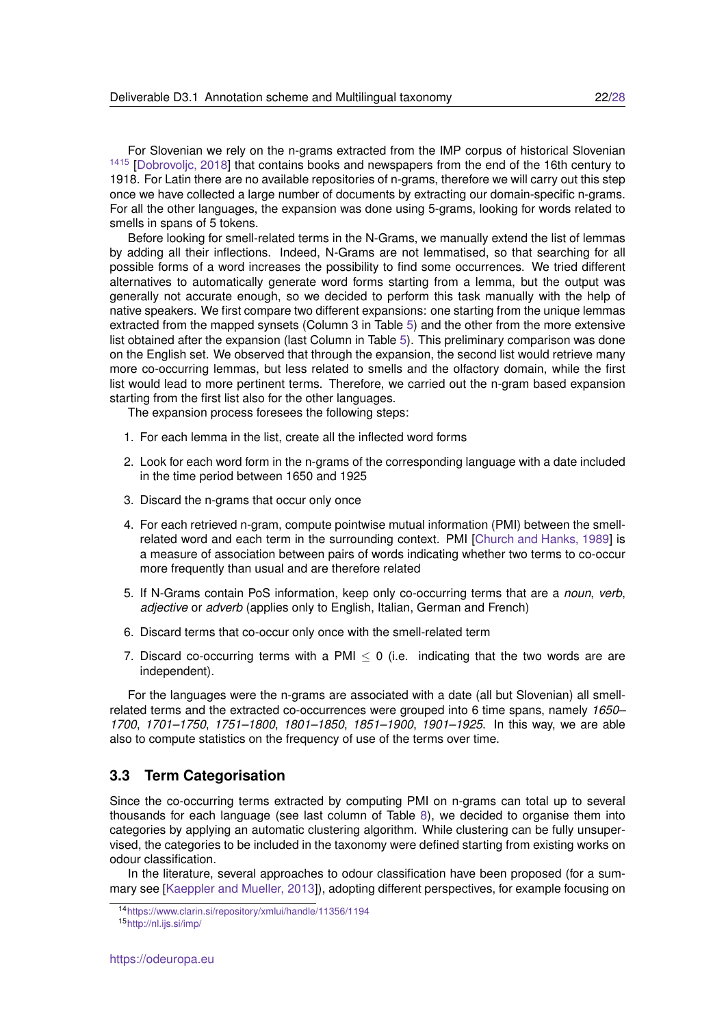For Slovenian we rely on the n-grams extracted from the IMP corpus of historical Slovenian <sup>[14](#page-21-1)[15](#page-21-2)</sup> [Dobrovolic, 2018] that contains books and newspapers from the end of the 16th century to 1918. For Latin there are no available repositories of n-grams, therefore we will carry out this step once we have collected a large number of documents by extracting our domain-specific n-grams. For all the other languages, the expansion was done using 5-grams, looking for words related to smells in spans of 5 tokens.

Before looking for smell-related terms in the N-Grams, we manually extend the list of lemmas by adding all their inflections. Indeed, N-Grams are not lemmatised, so that searching for all possible forms of a word increases the possibility to find some occurrences. We tried different alternatives to automatically generate word forms starting from a lemma, but the output was generally not accurate enough, so we decided to perform this task manually with the help of native speakers. We first compare two different expansions: one starting from the unique lemmas extracted from the mapped synsets (Column 3 in Table [5\)](#page-20-1) and the other from the more extensive list obtained after the expansion (last Column in Table [5\)](#page-20-1). This preliminary comparison was done on the English set. We observed that through the expansion, the second list would retrieve many more co-occurring lemmas, but less related to smells and the olfactory domain, while the first list would lead to more pertinent terms. Therefore, we carried out the n-gram based expansion starting from the first list also for the other languages.

The expansion process foresees the following steps:

- 1. For each lemma in the list, create all the inflected word forms
- 2. Look for each word form in the n-grams of the corresponding language with a date included in the time period between 1650 and 1925
- 3. Discard the n-grams that occur only once
- 4. For each retrieved n-gram, compute pointwise mutual information (PMI) between the smellrelated word and each term in the surrounding context. PMI [\[Church and Hanks, 1989\]](#page-25-1) is a measure of association between pairs of words indicating whether two terms to co-occur more frequently than usual and are therefore related
- 5. If N-Grams contain PoS information, keep only co-occurring terms that are a *noun*, *verb*, *adjective* or *adverb* (applies only to English, Italian, German and French)
- 6. Discard terms that co-occur only once with the smell-related term
- 7. Discard co-occurring terms with a PMI  $\leq$  0 (i.e. indicating that the two words are are independent).

For the languages were the n-grams are associated with a date (all but Slovenian) all smellrelated terms and the extracted co-occurrences were grouped into 6 time spans, namely *1650– 1700*, *1701–1750*, *1751–1800*, *1801–1850*, *1851–1900*, *1901–1925*. In this way, we are able also to compute statistics on the frequency of use of the terms over time.

### <span id="page-21-0"></span>**3.3 Term Categorisation**

Since the co-occurring terms extracted by computing PMI on n-grams can total up to several thousands for each language (see last column of Table [8\)](#page-25-2), we decided to organise them into categories by applying an automatic clustering algorithm. While clustering can be fully unsupervised, the categories to be included in the taxonomy were defined starting from existing works on odour classification.

In the literature, several approaches to odour classification have been proposed (for a summary see [\[Kaeppler and Mueller, 2013\]](#page-26-12)), adopting different perspectives, for example focusing on

<span id="page-21-1"></span><sup>14</sup><https://www.clarin.si/repository/xmlui/handle/11356/1194>

<span id="page-21-2"></span><sup>15</sup><http://nl.ijs.si/imp/>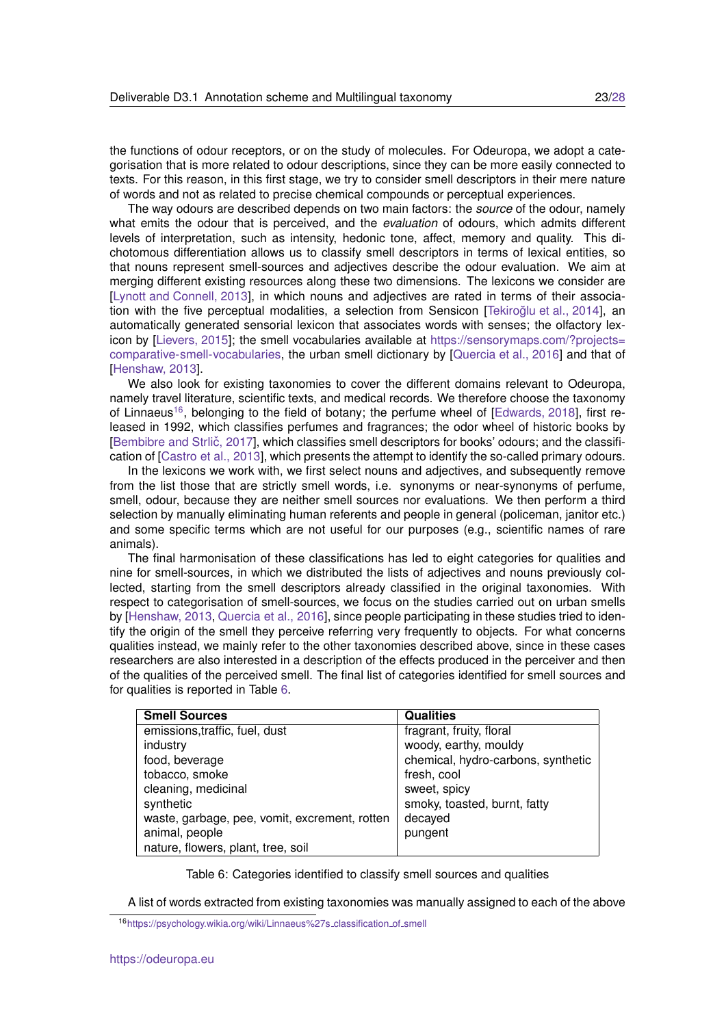the functions of odour receptors, or on the study of molecules. For Odeuropa, we adopt a categorisation that is more related to odour descriptions, since they can be more easily connected to texts. For this reason, in this first stage, we try to consider smell descriptors in their mere nature of words and not as related to precise chemical compounds or perceptual experiences.

The way odours are described depends on two main factors: the *source* of the odour, namely what emits the odour that is perceived, and the *evaluation* of odours, which admits different levels of interpretation, such as intensity, hedonic tone, affect, memory and quality. This dichotomous differentiation allows us to classify smell descriptors in terms of lexical entities, so that nouns represent smell-sources and adjectives describe the odour evaluation. We aim at merging different existing resources along these two dimensions. The lexicons we consider are [\[Lynott and Connell, 2013\]](#page-26-13), in which nouns and adjectives are rated in terms of their association with the five perceptual modalities, a selection from Sensicon [Tekiroğlu et al., 2014], an automatically generated sensorial lexicon that associates words with senses; the olfactory lex-icon by [\[Lievers, 2015\]](#page-26-14); the smell vocabularies available at [https://sensorymaps.com/?projects=](https://sensorymaps.com/?projects=comparative-smell-vocabularies) [comparative-smell-vocabularies,](https://sensorymaps.com/?projects=comparative-smell-vocabularies) the urban smell dictionary by [\[Quercia et al., 2016\]](#page-27-12) and that of [\[Henshaw, 2013\]](#page-26-15).

We also look for existing taxonomies to cover the different domains relevant to Odeuropa. namely travel literature, scientific texts, and medical records. We therefore choose the taxonomy of Linnaeus<sup>[16](#page-22-0)</sup>, belonging to the field of botany; the perfume wheel of [\[Edwards, 2018\]](#page-26-16), first released in 1992, which classifies perfumes and fragrances; the odor wheel of historic books by [Bembibre and Strlič, 2017], which classifies smell descriptors for books' odours; and the classification of [\[Castro et al., 2013\]](#page-25-4), which presents the attempt to identify the so-called primary odours.

In the lexicons we work with, we first select nouns and adjectives, and subsequently remove from the list those that are strictly smell words, i.e. synonyms or near-synonyms of perfume, smell, odour, because they are neither smell sources nor evaluations. We then perform a third selection by manually eliminating human referents and people in general (policeman, janitor etc.) and some specific terms which are not useful for our purposes (e.g., scientific names of rare animals).

The final harmonisation of these classifications has led to eight categories for qualities and nine for smell-sources, in which we distributed the lists of adjectives and nouns previously collected, starting from the smell descriptors already classified in the original taxonomies. With respect to categorisation of smell-sources, we focus on the studies carried out on urban smells by [\[Henshaw, 2013,](#page-26-15) [Quercia et al., 2016\]](#page-27-12), since people participating in these studies tried to identify the origin of the smell they perceive referring very frequently to objects. For what concerns qualities instead, we mainly refer to the other taxonomies described above, since in these cases researchers are also interested in a description of the effects produced in the perceiver and then of the qualities of the perceived smell. The final list of categories identified for smell sources and for qualities is reported in Table [6.](#page-22-1)

| <b>Smell Sources</b>                          | <b>Qualities</b>                   |
|-----------------------------------------------|------------------------------------|
| emissions, traffic, fuel, dust                | fragrant, fruity, floral           |
| industry                                      | woody, earthy, mouldy              |
| food, beverage                                | chemical, hydro-carbons, synthetic |
| tobacco, smoke                                | fresh, cool                        |
| cleaning, medicinal                           | sweet, spicy                       |
| synthetic                                     | smoky, toasted, burnt, fatty       |
| waste, garbage, pee, vomit, excrement, rotten | decayed                            |
| animal, people                                | pungent                            |
| nature, flowers, plant, tree, soil            |                                    |

<span id="page-22-1"></span>Table 6: Categories identified to classify smell sources and qualities

A list of words extracted from existing taxonomies was manually assigned to each of the above

<span id="page-22-0"></span><sup>16</sup>[https://psychology.wikia.org/wiki/Linnaeus%27s](https://psychology.wikia.org/wiki/Linnaeus%27s_classification_of_smell) classification of smell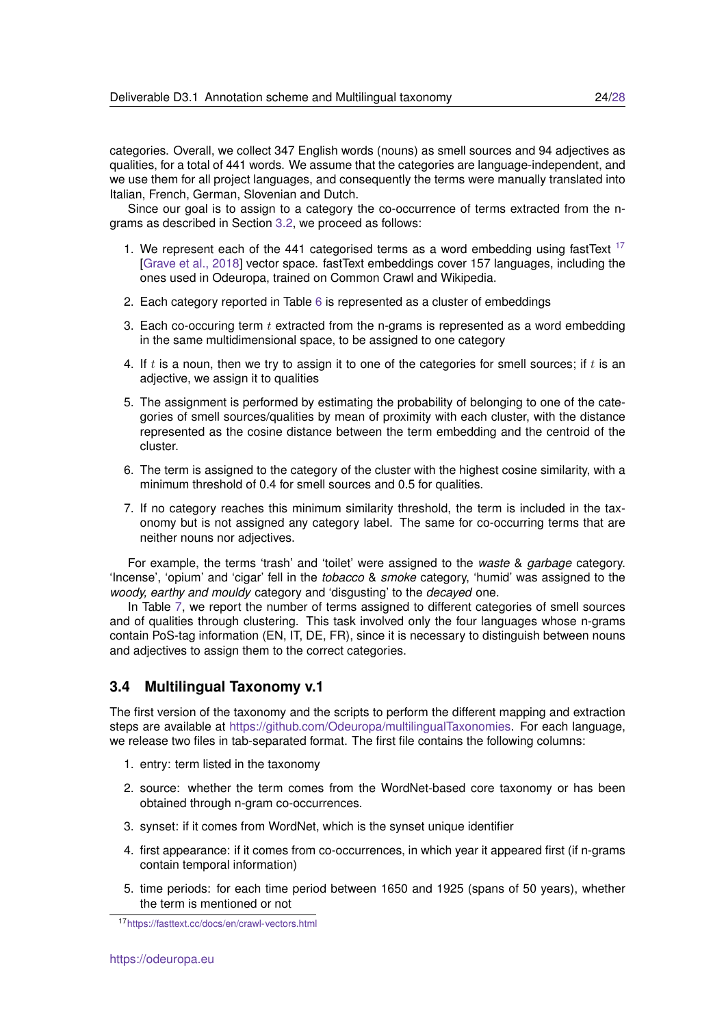categories. Overall, we collect 347 English words (nouns) as smell sources and 94 adjectives as qualities, for a total of 441 words. We assume that the categories are language-independent, and we use them for all project languages, and consequently the terms were manually translated into Italian, French, German, Slovenian and Dutch.

Since our goal is to assign to a category the co-occurrence of terms extracted from the ngrams as described in Section [3.2,](#page-20-0) we proceed as follows:

- 1. We represent each of the 441 categorised terms as a word embedding using fastText  $17$ [\[Grave et al., 2018\]](#page-26-4) vector space. fastText embeddings cover 157 languages, including the ones used in Odeuropa, trained on Common Crawl and Wikipedia.
- 2. Each category reported in Table [6](#page-22-1) is represented as a cluster of embeddings
- 3. Each co-occuring term  $t$  extracted from the n-grams is represented as a word embedding in the same multidimensional space, to be assigned to one category
- 4. If t is a noun, then we try to assign it to one of the categories for smell sources; if t is an adjective, we assign it to qualities
- 5. The assignment is performed by estimating the probability of belonging to one of the categories of smell sources/qualities by mean of proximity with each cluster, with the distance represented as the cosine distance between the term embedding and the centroid of the cluster.
- 6. The term is assigned to the category of the cluster with the highest cosine similarity, with a minimum threshold of 0.4 for smell sources and 0.5 for qualities.
- 7. If no category reaches this minimum similarity threshold, the term is included in the taxonomy but is not assigned any category label. The same for co-occurring terms that are neither nouns nor adjectives.

For example, the terms 'trash' and 'toilet' were assigned to the *waste* & *garbage* category. 'Incense', 'opium' and 'cigar' fell in the *tobacco* & *smoke* category, 'humid' was assigned to the *woody, earthy and mouldy* category and 'disgusting' to the *decayed* one.

In Table [7,](#page-24-1) we report the number of terms assigned to different categories of smell sources and of qualities through clustering. This task involved only the four languages whose n-grams contain PoS-tag information (EN, IT, DE, FR), since it is necessary to distinguish between nouns and adjectives to assign them to the correct categories.

### <span id="page-23-0"></span>**3.4 Multilingual Taxonomy v.1**

The first version of the taxonomy and the scripts to perform the different mapping and extraction steps are available at [https://github.com/Odeuropa/multilingualTaxonomies.](https://github.com/Odeuropa/multilingualTaxonomies) For each language, we release two files in tab-separated format. The first file contains the following columns:

- 1. entry: term listed in the taxonomy
- 2. source: whether the term comes from the WordNet-based core taxonomy or has been obtained through n-gram co-occurrences.
- 3. synset: if it comes from WordNet, which is the synset unique identifier
- 4. first appearance: if it comes from co-occurrences, in which year it appeared first (if n-grams contain temporal information)
- 5. time periods: for each time period between 1650 and 1925 (spans of 50 years), whether the term is mentioned or not

<span id="page-23-1"></span><sup>17</sup><https://fasttext.cc/docs/en/crawl-vectors.html>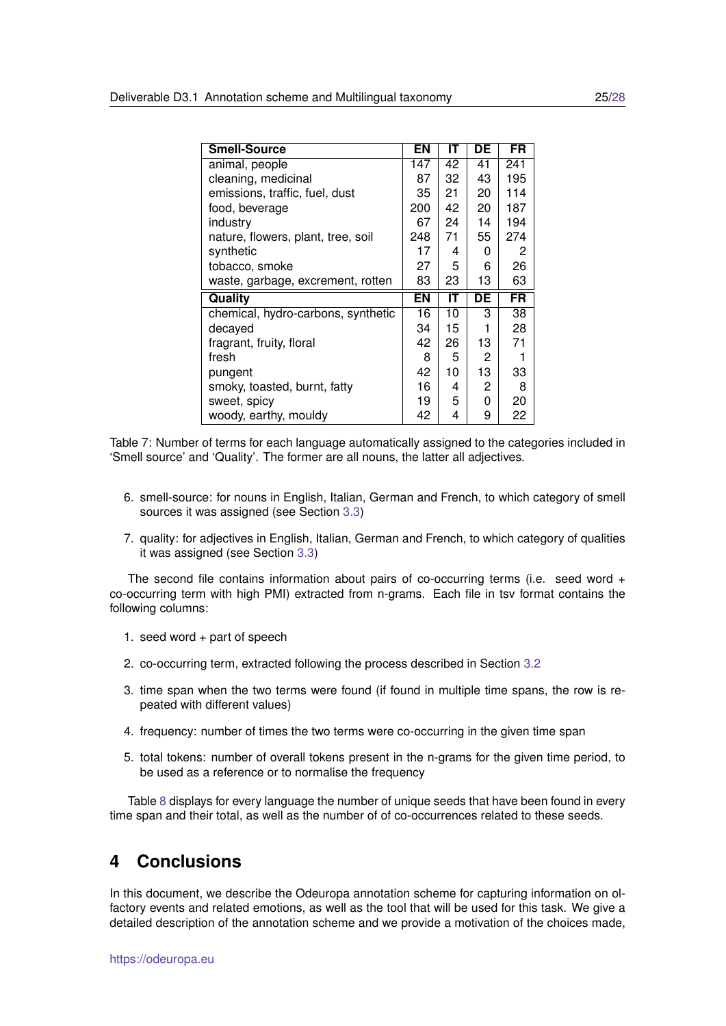| <b>Smell-Source</b>                | ΕN  | IΤ | DE | <b>FR</b> |
|------------------------------------|-----|----|----|-----------|
| animal, people                     | 147 | 42 | 41 | 241       |
| cleaning, medicinal                | 87  | 32 | 43 | 195       |
| emissions, traffic, fuel, dust     | 35  | 21 | 20 | 114       |
| food, beverage                     | 200 | 42 | 20 | 187       |
| industry                           | 67  | 24 | 14 | 194       |
| nature, flowers, plant, tree, soil | 248 | 71 | 55 | 274       |
| synthetic                          | 17  | 4  | 0  | 2         |
| tobacco, smoke                     | 27  | 5. | 6  | 26        |
| waste, garbage, excrement, rotten  | 83  | 23 | 13 | 63        |
| Quality                            | ΕN  | ΙT | DE | FR        |
| chemical, hydro-carbons, synthetic | 16  | 10 | З  | 38        |
| decayed                            | 34  | 15 |    | 28        |
| fragrant, fruity, floral           | 42  | 26 | 13 | 71        |
| fresh                              | 8   | 5  | 2  |           |
| pungent                            | 42  | 10 | 13 | 33        |
| smoky, toasted, burnt, fatty       | 16  | 4  | 2  | 8         |
| sweet, spicy                       | 19  | 5  | 0  | 20        |
| woody, earthy, mouldy              | 42  | 4  | 9  | 22        |

<span id="page-24-1"></span>Table 7: Number of terms for each language automatically assigned to the categories included in 'Smell source' and 'Quality'. The former are all nouns, the latter all adjectives.

- 6. smell-source: for nouns in English, Italian, German and French, to which category of smell sources it was assigned (see Section [3.3\)](#page-21-0)
- 7. quality: for adjectives in English, Italian, German and French, to which category of qualities it was assigned (see Section [3.3\)](#page-21-0)

The second file contains information about pairs of co-occurring terms (i.e. seed word + co-occurring term with high PMI) extracted from n-grams. Each file in tsv format contains the following columns:

- 1. seed word + part of speech
- 2. co-occurring term, extracted following the process described in Section [3.2](#page-20-0)
- 3. time span when the two terms were found (if found in multiple time spans, the row is repeated with different values)
- 4. frequency: number of times the two terms were co-occurring in the given time span
- 5. total tokens: number of overall tokens present in the n-grams for the given time period, to be used as a reference or to normalise the frequency

Table [8](#page-25-2) displays for every language the number of unique seeds that have been found in every time span and their total, as well as the number of of co-occurrences related to these seeds.

# <span id="page-24-0"></span>**4 Conclusions**

In this document, we describe the Odeuropa annotation scheme for capturing information on olfactory events and related emotions, as well as the tool that will be used for this task. We give a detailed description of the annotation scheme and we provide a motivation of the choices made,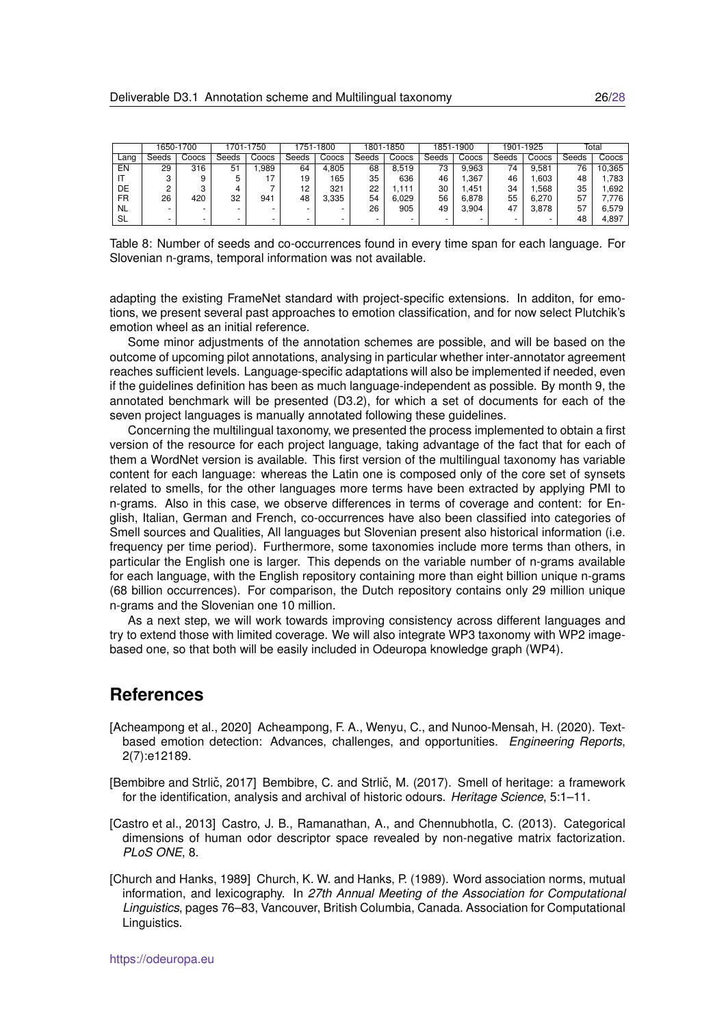|           | 1650-1700 |       | 1701-1750 |       | 1751-1800 |                          | 1801-1850 |       | 1851-1900 |       | 1901-1925 |       | Total |        |
|-----------|-----------|-------|-----------|-------|-----------|--------------------------|-----------|-------|-----------|-------|-----------|-------|-------|--------|
| ∟ang      | Seeds     | Coocs | Seeds     | Coocs | Seeds     | Coocs                    | Seeds     | Coocs | Seeds     | Coocs | Seeds     | Coocs | Seeds | Coocs  |
| EN        | 29        | 316   | 51        | .989  | 64        | 4,805                    | 68        | 8.519 | 73        | 9.963 | 74        | 9.581 | 76    | 10,365 |
|           |           |       | 5         |       | 19        | 165                      | 35        | 636   | 46        | .367  | 46        | .603  | 48    | 1.783  |
| DE        |           |       | 4         |       | 12        | 321                      | 22        | .111  | 30        | .451  | 34        | .568  | 35    | .692   |
| FR        | 26        | 420   | 32        | 941   | 48        | 3,335                    | 54        | 6.029 | 56        | 6.878 | 55        | 6.270 | 57    | 7.776  |
| <b>NL</b> |           |       |           |       |           |                          | 26        | 905   | 49        | 3.904 | 47        | 3.878 | 57    | 6,579  |
| SL        |           |       | $\sim$    | -     |           | $\overline{\phantom{a}}$ |           |       | -         | -     | $\sim$    |       | 48    | 4,897  |

<span id="page-25-2"></span>Table 8: Number of seeds and co-occurrences found in every time span for each language. For Slovenian n-grams, temporal information was not available.

adapting the existing FrameNet standard with project-specific extensions. In additon, for emotions, we present several past approaches to emotion classification, and for now select Plutchik's emotion wheel as an initial reference.

Some minor adjustments of the annotation schemes are possible, and will be based on the outcome of upcoming pilot annotations, analysing in particular whether inter-annotator agreement reaches sufficient levels. Language-specific adaptations will also be implemented if needed, even if the guidelines definition has been as much language-independent as possible. By month 9, the annotated benchmark will be presented (D3.2), for which a set of documents for each of the seven project languages is manually annotated following these guidelines.

Concerning the multilingual taxonomy, we presented the process implemented to obtain a first version of the resource for each project language, taking advantage of the fact that for each of them a WordNet version is available. This first version of the multilingual taxonomy has variable content for each language: whereas the Latin one is composed only of the core set of synsets related to smells, for the other languages more terms have been extracted by applying PMI to n-grams. Also in this case, we observe differences in terms of coverage and content: for English, Italian, German and French, co-occurrences have also been classified into categories of Smell sources and Qualities, All languages but Slovenian present also historical information (i.e. frequency per time period). Furthermore, some taxonomies include more terms than others, in particular the English one is larger. This depends on the variable number of n-grams available for each language, with the English repository containing more than eight billion unique n-grams (68 billion occurrences). For comparison, the Dutch repository contains only 29 million unique n-grams and the Slovenian one 10 million.

As a next step, we will work towards improving consistency across different languages and try to extend those with limited coverage. We will also integrate WP3 taxonomy with WP2 imagebased one, so that both will be easily included in Odeuropa knowledge graph (WP4).

## **References**

<span id="page-25-0"></span>[Acheampong et al., 2020] Acheampong, F. A., Wenyu, C., and Nunoo-Mensah, H. (2020). Textbased emotion detection: Advances, challenges, and opportunities. *Engineering Reports*, 2(7):e12189.

<span id="page-25-3"></span>[Bembibre and Strlič, 2017] Bembibre, C. and Strlič, M. (2017). Smell of heritage: a framework for the identification, analysis and archival of historic odours. *Heritage Science*, 5:1–11.

- <span id="page-25-4"></span>[Castro et al., 2013] Castro, J. B., Ramanathan, A., and Chennubhotla, C. (2013). Categorical dimensions of human odor descriptor space revealed by non-negative matrix factorization. *PLoS ONE*, 8.
- <span id="page-25-1"></span>[Church and Hanks, 1989] Church, K. W. and Hanks, P. (1989). Word association norms, mutual information, and lexicography. In *27th Annual Meeting of the Association for Computational Linguistics*, pages 76–83, Vancouver, British Columbia, Canada. Association for Computational Linguistics.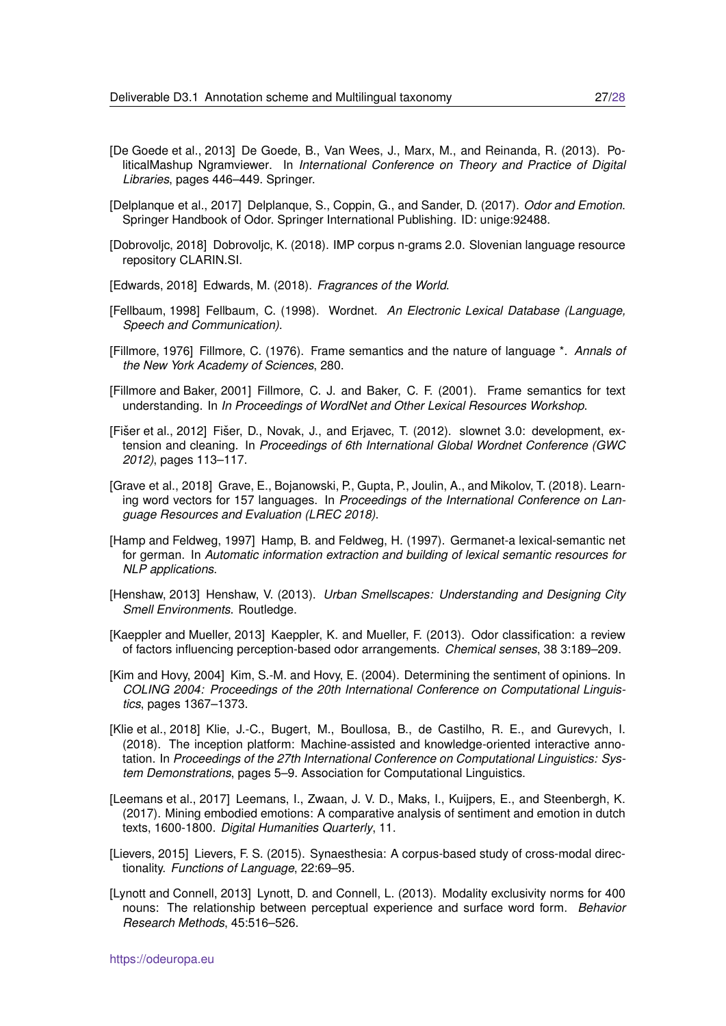- <span id="page-26-2"></span>[De Goede et al., 2013] De Goede, B., Van Wees, J., Marx, M., and Reinanda, R. (2013). PoliticalMashup Ngramviewer. In *International Conference on Theory and Practice of Digital Libraries*, pages 446–449. Springer.
- <span id="page-26-7"></span>[Delplanque et al., 2017] Delplanque, S., Coppin, G., and Sander, D. (2017). *Odor and Emotion*. Springer Handbook of Odor. Springer International Publishing. ID: unige:92488.
- <span id="page-26-3"></span>[Dobrovoljc, 2018] Dobrovoljc, K. (2018). IMP corpus n-grams 2.0. Slovenian language resource repository CLARIN.SI.
- <span id="page-26-16"></span>[Edwards, 2018] Edwards, M. (2018). *Fragrances of the World*.
- <span id="page-26-8"></span>[Fellbaum, 1998] Fellbaum, C. (1998). Wordnet. *An Electronic Lexical Database (Language, Speech and Communication)*.
- <span id="page-26-5"></span>[Fillmore, 1976] Fillmore, C. (1976). Frame semantics and the nature of language \*. *Annals of the New York Academy of Sciences*, 280.
- <span id="page-26-0"></span>[Fillmore and Baker, 2001] Fillmore, C. J. and Baker, C. F. (2001). Frame semantics for text understanding. In *In Proceedings of WordNet and Other Lexical Resources Workshop*.
- <span id="page-26-10"></span>[Fišer et al., 2012] Fišer, D., Novak, J., and Erjavec, T. (2012). slownet 3.0: development, extension and cleaning. In *Proceedings of 6th International Global Wordnet Conference (GWC 2012)*, pages 113–117.
- <span id="page-26-4"></span>[Grave et al., 2018] Grave, E., Bojanowski, P., Gupta, P., Joulin, A., and Mikolov, T. (2018). Learning word vectors for 157 languages. In *Proceedings of the International Conference on Language Resources and Evaluation (LREC 2018)*.
- <span id="page-26-11"></span>[Hamp and Feldweg, 1997] Hamp, B. and Feldweg, H. (1997). Germanet-a lexical-semantic net for german. In *Automatic information extraction and building of lexical semantic resources for NLP applications*.
- <span id="page-26-15"></span>[Henshaw, 2013] Henshaw, V. (2013). *Urban Smellscapes: Understanding and Designing City Smell Environments*. Routledge.
- <span id="page-26-12"></span>[Kaeppler and Mueller, 2013] Kaeppler, K. and Mueller, F. (2013). Odor classification: a review of factors influencing perception-based odor arrangements. *Chemical senses*, 38 3:189–209.
- <span id="page-26-9"></span>[Kim and Hovy, 2004] Kim, S.-M. and Hovy, E. (2004). Determining the sentiment of opinions. In *COLING 2004: Proceedings of the 20th International Conference on Computational Linguistics*, pages 1367–1373.
- <span id="page-26-1"></span>[Klie et al., 2018] Klie, J.-C., Bugert, M., Boullosa, B., de Castilho, R. E., and Gurevych, I. (2018). The inception platform: Machine-assisted and knowledge-oriented interactive annotation. In *Proceedings of the 27th International Conference on Computational Linguistics: System Demonstrations*, pages 5–9. Association for Computational Linguistics.
- <span id="page-26-6"></span>[Leemans et al., 2017] Leemans, I., Zwaan, J. V. D., Maks, I., Kuijpers, E., and Steenbergh, K. (2017). Mining embodied emotions: A comparative analysis of sentiment and emotion in dutch texts, 1600-1800. *Digital Humanities Quarterly*, 11.
- <span id="page-26-14"></span>[Lievers, 2015] Lievers, F. S. (2015). Synaesthesia: A corpus-based study of cross-modal directionality. *Functions of Language*, 22:69–95.
- <span id="page-26-13"></span>[Lynott and Connell, 2013] Lynott, D. and Connell, L. (2013). Modality exclusivity norms for 400 nouns: The relationship between perceptual experience and surface word form. *Behavior Research Methods*, 45:516–526.